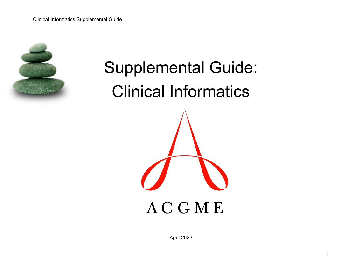

# Supplemental Guide: Clinical Informatics **ACGME**

April 2022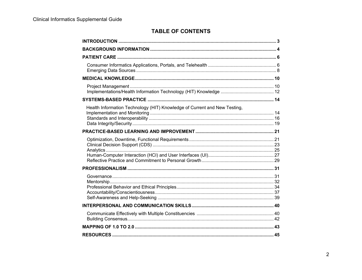# **TABLE OF CONTENTS**

| Health Information Technology (HIT) Knowledge of Current and New Testing, |  |
|---------------------------------------------------------------------------|--|
|                                                                           |  |
|                                                                           |  |
|                                                                           |  |
|                                                                           |  |
|                                                                           |  |
|                                                                           |  |
|                                                                           |  |
|                                                                           |  |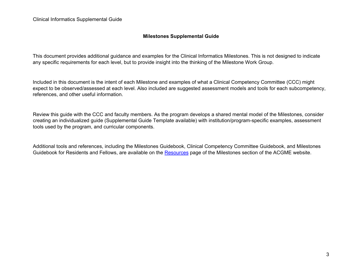### **Milestones Supplemental Guide**

This document provides additional guidance and examples for the Clinical Informatics Milestones. This is not designed to indicate any specific requirements for each level, but to provide insight into the thinking of the Milestone Work Group.

Included in this document is the intent of each Milestone and examples of what a Clinical Competency Committee (CCC) might expect to be observed/assessed at each level. Also included are suggested assessment models and tools for each subcompetency, references, and other useful information.

Review this guide with the CCC and faculty members. As the program develops a shared mental model of the Milestones, consider creating an individualized guide (Supplemental Guide Template available) with institution/program-specific examples, assessment tools used by the program, and curricular components.

Additional tools and references, including the Milestones Guidebook, Clinical Competency Committee Guidebook, and Milestones Guidebook for Residents and Fellows, are available on the [Resources](https://www.acgme.org/What-We-Do/Accreditation/Milestones/Resources) page of the Milestones section of the ACGME website.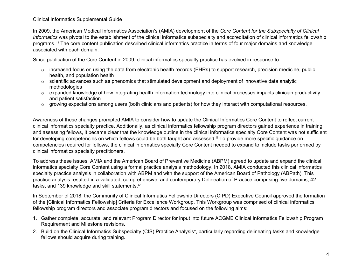#### Clinical Informatics Supplemental Guide

In 2009, the American Medical Informatics Association's (AMIA) development of the *Core Content for the Subspecialty of Clinical Informatics* was pivotal to the establishment of the clinical informatics subspecialty and accreditation of clinical informatics fellowship programs.<sup>[i,](#page-45-0) [ii](#page-45-1)</sup> The core content publication described clinical informatics practice in terms of four major domains and knowledge associated with each domain.

Since publication of the Core Content in 2009, clinical informatics specialty practice has evolved in response to:

- $\circ$  increased focus on using the data from electronic health records (EHRs) to support research, precision medicine, public health, and population health
- $\circ$  scientific advances such as phenomics that stimulated development and deployment of innovative data analytic methodologies
- $\circ$  expanded knowledge of how integrating health information technology into clinical processes impacts clinician productivity and patient satisfaction
- $\circ$  growing expectations among users (both clinicians and patients) for how they interact with computational resources.

Awareness of these changes prompted AMIA to consider how to update the Clinical Informatics Core Content to reflect current clinical informatics specialty practice. Additionally, as clinical informatics fellowship program directors gained experience in training and assessing fellows, it became clear that the knowledge outline in the clinical informatics specialty Core Content was not sufficient for developing competencies on which fellows could be both taught and assessed.<sup>[iii](#page-45-2)</sup> To provide more specific guidance on competencies required for fellows, the clinical informatics specialty Core Content needed to expand to include tasks performed by clinical informatics specialty practitioners.

To address these issues, AMIA and the American Board of Preventive Medicine (ABPM) agreed to update and expand the clinical informatics specialty Core Content using a formal practice analysis methodology. In 2018, AMIA conducted this clinical informatics specialty practice analysis in collaboration with ABPM and with the support of the American Board of Pathology (ABPath). This practice analysis resulted in a validated, comprehensive, and contemporary Delineation of Practice comprising five domains, 42 tasks, and 139 knowledge and skill statements.<sup>[iv](#page-45-3)</sup>

In September of 2018, the Community of Clinical Informatics Fellowship Directors (CIPD) Executive Council approved the formation of the [Clinical Informatics Fellowship] Criteria for Excellence Workgroup. This Workgroup was comprised of clinical informatics fellowship program directors and associate program directors and focused on the following aims:

- 1. Gather complete, accurate, and relevant Program Director for input into future ACGME Clinical Informatics Fellowship Program Requirement and Milestone revisions.
- 2. Build on the Clinical Informatics Subspecialty (CIS) Practice Analysis<sup>[v](#page-45-4)</sup>, particularly regarding delineating tasks and knowledge fellows should acquire during training.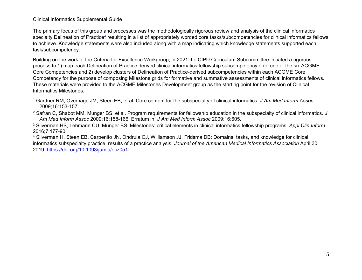Clinical Informatics Supplemental Guide

The primary focus of this group and processes was the methodologically rigorous review and analysis of the clinical informatics specialty Delineation of Practice<sup>4</sup> resulting in a list of appropriately worded core tasks/subcompetencies for clinical informatics fellows to achieve. Knowledge statements were also included along with a map indicating which knowledge statements supported each task/subcompetency.

Building on the work of the Criteria for Excellence Workgroup, in 2021 the CIPD Curriculum Subcommittee initiated a rigorous process to 1) map each Delineation of Practice derived clinical informatics fellowship subcompetency onto one of the six ACGME Core Competencies and 2) develop clusters of Delineation of Practice-derived subcompetencies within each ACGME Core Competency for the purpose of composing Milestone grids for formative and summative assessments of clinical informatics fellows. These materials were provided to the ACGME Milestones Development group as the starting point for the revision of Clinical Informatics Milestones.

- <sup>1</sup> Gardner RM, Overhage JM, Steen EB, et al. Core content for the subspecialty of clinical informatics. *J Am Med Inform Assoc* 2009;16:153-157.
- <sup>2</sup> Safran C, Shabot MM, Munger BS, et al. Program requirements for fellowship education in the subspecialty of clinical informatics*. J Am Med Inform Assoc* 2009;16:158-166. Erratum in: *J Am Med Inform Assoc* 2009;16:605.

<sup>3</sup> Silverman HS, Lehmann CU, Munger BS. Milestones: critical elements in clinical informatics fellowship programs. *Appl Clin Inform* 2016;7:177-90. 4 Silverman H, Steen EB, Carpenito JN, Ondrula CJ, Williamson JJ, Fridsma DB: Domains, tasks, and knowledge for clinical

informatics subspecialty practice: results of a practice analysis, *Journal of the American Medical Informatics Association* April 30, 2019. [https://doi.org/10.1093/jamia/ocz051.](https://doi.org/10.1093/jamia/ocz051)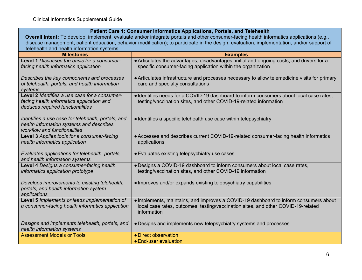# **Patient Care 1: Consumer Informatics Applications, Portals, and Telehealth**

**Overall Intent:** To develop, implement, evaluate and/or integrate portals and other consumer-facing health informatics applications (e.g., disease management, patient education, behavior modification); to participate in the design, evaluation, implementation, and/or support of telehealth and health information systems

| <b>Milestones</b>                                                                                                              | <b>Examples</b>                                                                                                                                                                          |
|--------------------------------------------------------------------------------------------------------------------------------|------------------------------------------------------------------------------------------------------------------------------------------------------------------------------------------|
| Level 1 Discusses the basis for a consumer-<br>facing health informatics application                                           | • Articulates the advantages, disadvantages, initial and ongoing costs, and drivers for a<br>specific consumer-facing application within the organization                                |
| Describes the key components and processes<br>of telehealth, portals, and health information<br>systems                        | • Articulates infrastructure and processes necessary to allow telemedicine visits for primary<br>care and specialty consultations                                                        |
| Level 2 Identifies a use case for a consumer-<br>facing health informatics application and<br>deduces required functionalities | · Identifies needs for a COVID-19 dashboard to inform consumers about local case rates,<br>testing/vaccination sites, and other COVID-19-related information                             |
| Identifies a use case for telehealth, portals, and<br>health information systems and describes<br>workflow and functionalities | • Identifies a specific telehealth use case within telepsychiatry                                                                                                                        |
| Level 3 Applies tools for a consumer-facing<br>health informatics application                                                  | • Accesses and describes current COVID-19-related consumer-facing health informatics<br>applications                                                                                     |
| Evaluates applications for telehealth, portals,<br>and health information systems                                              | • Evaluates existing telepsychiatry use cases                                                                                                                                            |
| Level 4 Designs a consumer-facing health<br>informatics application prototype                                                  | • Designs a COVID-19 dashboard to inform consumers about local case rates,<br>testing/vaccination sites, and other COVID-19 information                                                  |
| Develops improvements to existing telehealth,<br>portals, and health information system<br>applications                        | • Improves and/or expands existing telepsychiatry capabilities                                                                                                                           |
| Level 5 Implements or leads implementation of<br>a consumer-facing health informatics application                              | . Implements, maintains, and improves a COVID-19 dashboard to inform consumers about<br>local case rates, outcomes, testing/vaccination sites, and other COVID-19-related<br>information |
| Designs and implements telehealth, portals, and<br>health information systems                                                  | • Designs and implements new telepsychiatry systems and processes                                                                                                                        |
| <b>Assessment Models or Tools</b>                                                                                              | • Direct observation                                                                                                                                                                     |
|                                                                                                                                | • End-user evaluation                                                                                                                                                                    |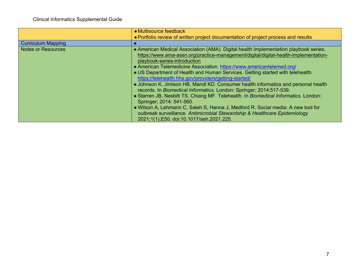|                           | • Multisource feedback                                                               |
|---------------------------|--------------------------------------------------------------------------------------|
|                           | • Portfolio review of written project documentation of project process and results   |
| <b>Curriculum Mapping</b> |                                                                                      |
| <b>Notes or Resources</b> | • American Medical Association (AMA). Digital health implementation playbook series. |
|                           | https://www.ama-assn.org/practice-management/digital/digital-health-implementation-  |
|                           | playbook-series-introduction                                                         |
|                           | • American Telemedicine Association. https://www.americantelemed.org/                |
|                           | • US Department of Health and Human Services. Getting started with telehealth.       |
|                           | https://telehealth.hhs.gov/providers/getting-started/                                |
|                           | • Johnson K, Jimison HB, Mandl KD. Consumer health informatics and personal health   |
|                           | records. In <i>Biomedical Informatics</i> . London: Springer; 2014:517-539.          |
|                           | • Starren JB, Nesbitt TS, Chiang MF. Telehealth. In Biomedical Informatics. London:  |
|                           | Springer; 2014: 541-560.                                                             |
|                           | • Wilson A, Lehmann C, Saleh S, Hanna J, Medford R. Social media: A new tool for     |
|                           | outbreak surveillance. Antimicrobial Stewardship & Healthcare Epidemiology           |
|                           | 2021;1(1),E50. doi:10.1017/ash.2021.225.                                             |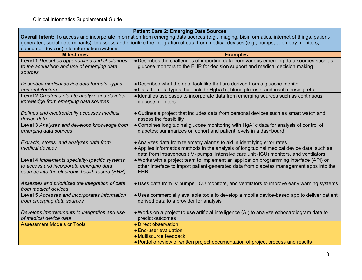|                                                                                                                                               | <b>Patient Care 2: Emerging Data Sources</b>                                                                                             |
|-----------------------------------------------------------------------------------------------------------------------------------------------|------------------------------------------------------------------------------------------------------------------------------------------|
| Overall Intent: To access and incorporate information from emerging data sources (e.g., imaging, bioinformatics, internet of things, patient- |                                                                                                                                          |
|                                                                                                                                               | generated, social determinants); to assess and prioritize the integration of data from medical devices (e.g., pumps, telemetry monitors, |
| consumer devices) into information systems                                                                                                    |                                                                                                                                          |
| <b>Milestones</b>                                                                                                                             | <b>Examples</b>                                                                                                                          |
| Level 1 Describes opportunities and challenges                                                                                                | • Describes the challenges of importing data from various emerging data sources such as                                                  |
| to the acquisition and use of emerging data                                                                                                   | glucose monitors to the EHR for decision support and medical decision making                                                             |
| sources                                                                                                                                       |                                                                                                                                          |
|                                                                                                                                               |                                                                                                                                          |
| Describes medical device data formats, types,                                                                                                 | • Describes what the data look like that are derived from a glucose monitor                                                              |
| and architecture                                                                                                                              | • Lists the data types that include HgbA1c, blood glucose, and insulin dosing, etc.                                                      |
| Level 2 Creates a plan to analyze and develop                                                                                                 | · Identifies use cases to incorporate data from emerging sources such as continuous                                                      |
| knowledge from emerging data sources                                                                                                          | glucose monitors                                                                                                                         |
|                                                                                                                                               |                                                                                                                                          |
| Defines and electronically accesses medical                                                                                                   | • Outlines a project that includes data from personal devices such as smart watch and                                                    |
| device data                                                                                                                                   | assess the feasibility                                                                                                                   |
| Level 3 Analyzes and develops knowledge from                                                                                                  | • Combines longitudinal glucose monitoring with HgA1c data for analysis of control of                                                    |
| emerging data sources                                                                                                                         | diabetes; summarizes on cohort and patient levels in a dashboard                                                                         |
|                                                                                                                                               |                                                                                                                                          |
| Extracts, stores, and analyzes data from                                                                                                      | • Analyzes data from telemetry alarms to aid in identifying error rates                                                                  |
| medical devices                                                                                                                               | • Applies informatics methods in the analysis of longitudinal medical device data, such as                                               |
|                                                                                                                                               | data from intravenous (IV) pumps, intensive care unit (ICU) monitors, and ventilators                                                    |
| Level 4 Implements specialty-specific systems                                                                                                 | . Works with a project team to implement an application programming interface (API) or                                                   |
| to access and incorporate emerging data                                                                                                       | other interface to import patient-generated data from diabetes management apps into the                                                  |
| sources into the electronic health record (EHR)                                                                                               | <b>EHR</b>                                                                                                                               |
|                                                                                                                                               |                                                                                                                                          |
| Assesses and prioritizes the integration of data                                                                                              | • Uses data from IV pumps, ICU monitors, and ventilators to improve early warning systems                                                |
| from medical devices                                                                                                                          |                                                                                                                                          |
| Level 5 Accesses and incorporates information                                                                                                 | • Uses commercially available tools to develop a mobile device-based app to deliver patient                                              |
| from emerging data sources                                                                                                                    | derived data to a provider for analysis                                                                                                  |
|                                                                                                                                               |                                                                                                                                          |
| Develops improvements to integration and use<br>of medical device data                                                                        | • Works on a project to use artificial intelligence (AI) to analyze echocardiogram data to<br>predict outcomes                           |
| <b>Assessment Models or Tools</b>                                                                                                             | • Direct observation                                                                                                                     |
|                                                                                                                                               | • End-user evaluation                                                                                                                    |
|                                                                                                                                               | • Multisource feedback                                                                                                                   |
|                                                                                                                                               |                                                                                                                                          |
|                                                                                                                                               | • Portfolio review of written project documentation of project process and results                                                       |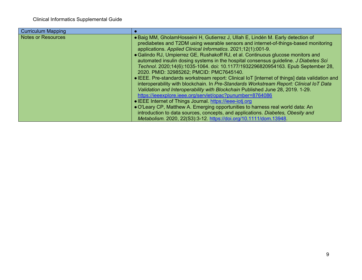| <b>Curriculum Mapping</b> |                                                                                                |
|---------------------------|------------------------------------------------------------------------------------------------|
| <b>Notes or Resources</b> | • Baig MM, GholamHosseini H, Gutierrez J, Ullah E, Lindén M. Early detection of                |
|                           | prediabetes and T2DM using wearable sensors and internet-of-things-based monitoring            |
|                           | applications. Applied Clinical Informatics. 2021;12(1):001-9.                                  |
|                           | • Galindo RJ, Umpierrez GE, Rushakoff RJ, et al. Continuous glucose monitors and               |
|                           | automated insulin dosing systems in the hospital consensus quideline. J Diabetes Sci           |
|                           | Technol. 2020;14(6):1035-1064. doi: 10.1177/1932296820954163. Epub September 28,               |
|                           | 2020. PMID: 32985262; PMCID: PMC7645140.                                                       |
|                           | • IEEE. Pre-standards workstream report: Clinical IoT [internet of things] data validation and |
|                           | interoperability with blockchain. In Pre-Standards Workstream Report: Clinical IoT Data        |
|                           | Validation and Interoperability with Blockchain Published June 28, 2019. 1-29.                 |
|                           | https://ieeexplore.ieee.org/servlet/opac?punumber=8764086                                      |
|                           | • IEEE Internet of Things Journal https://ieee-iotj.org                                        |
|                           | • O'Leary CP, Matthew A. Emerging opportunities to harness real world data: An                 |
|                           | introduction to data sources, concepts, and applications. Diabetes, Obesity and                |
|                           | Metabolism. 2020, 22(S3):3-12. https://doi.org/10.1111/dom.13948.                              |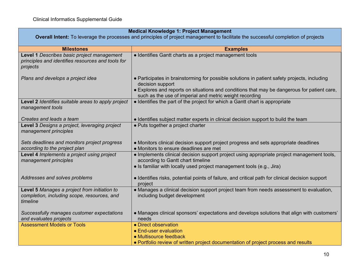| <b>Medical Knowledge 1: Project Management</b><br><b>Overall Intent:</b> To leverage the processes and principles of project management to facilitate the successful completion of projects |                                                                                                                                                                                                                                                                            |
|---------------------------------------------------------------------------------------------------------------------------------------------------------------------------------------------|----------------------------------------------------------------------------------------------------------------------------------------------------------------------------------------------------------------------------------------------------------------------------|
| <b>Milestones</b>                                                                                                                                                                           | <b>Examples</b>                                                                                                                                                                                                                                                            |
| Level 1 Describes basic project management<br>principles and identifies resources and tools for<br>projects                                                                                 | • Identifies Gantt charts as a project management tools                                                                                                                                                                                                                    |
| Plans and develops a project idea                                                                                                                                                           | • Participates in brainstorming for possible solutions in patient safety projects, including<br>decision support<br>• Explores and reports on situations and conditions that may be dangerous for patient care,<br>such as the use of imperial and metric weight recording |
| Level 2 Identifies suitable areas to apply project<br>management tools                                                                                                                      | • Identifies the part of the project for which a Gantt chart is appropriate                                                                                                                                                                                                |
| Creates and leads a team                                                                                                                                                                    | • Identifies subject matter experts in clinical decision support to build the team                                                                                                                                                                                         |
| Level 3 Designs a project, leveraging project<br>management principles                                                                                                                      | • Puts together a project charter                                                                                                                                                                                                                                          |
| Sets deadlines and monitors project progress<br>according to the project plan                                                                                                               | • Monitors clinical decision support project progress and sets appropriate deadlines<br>• Monitors to ensure deadlines are met                                                                                                                                             |
| Level 4 Implements a project using project<br>management principles                                                                                                                         | • Implements clinical decision support project using appropriate project management tools,<br>according to Gantt chart timeline<br>• Is familiar with locally used project management tools (e.g., Jira)                                                                   |
| Addresses and solves problems                                                                                                                                                               | • Identifies risks, potential points of failure, and critical path for clinical decision support<br>project                                                                                                                                                                |
| Level 5 Manages a project from initiation to<br>completion, including scope, resources, and<br>timeline                                                                                     | • Manages a clinical decision support project team from needs assessment to evaluation,<br>including budget development                                                                                                                                                    |
| Successfully manages customer expectations<br>and evaluates projects                                                                                                                        | • Manages clinical sponsors' expectations and develops solutions that align with customers'<br>needs                                                                                                                                                                       |
| <b>Assessment Models or Tools</b>                                                                                                                                                           | • Direct observation<br>• End-user evaluation<br>• Multisource feedback                                                                                                                                                                                                    |
|                                                                                                                                                                                             | • Portfolio review of written project documentation of project process and results                                                                                                                                                                                         |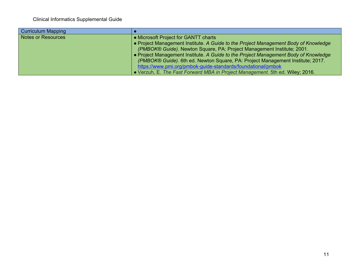| <b>Curriculum Mapping</b> |                                                                                     |
|---------------------------|-------------------------------------------------------------------------------------|
| Notes or Resources        | • Microsoft Project for GANTT charts                                                |
|                           | • Project Management Institute. A Guide to the Project Management Body of Knowledge |
|                           | (PMBOK® Guide). Newton Square, PA: Project Management Institute; 2001.              |
|                           | • Project Management Institute. A Guide to the Project Management Body of Knowledge |
|                           | (PMBOK® Guide). 6th ed. Newton Square, PA: Project Management Institute; 2017.      |
|                           | https://www.pmi.org/pmbok-guide-standards/foundational/pmbok                        |
|                           | • Verzuh, E. The Fast Forward MBA in Project Management. 5th ed. Wiley; 2016.       |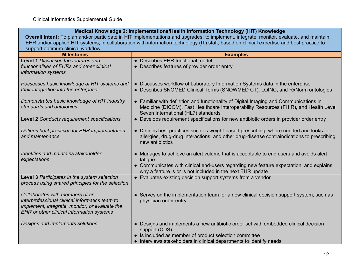# **Medical Knowledge 2: Implementations/Health Information Technology (HIT) Knowledge**

**Overall Intent:** To plan and/or participate in HIT implementations and upgrades; to implement, integrate, monitor, evaluate, and maintain EHR and/or applied HIT systems, in collaboration with information technology (IT) staff, based on clinical expertise and best practice to support optimum clinical workflow

| support optimam olimoar workiiow<br><b>Milestones</b>                                                                                                                                   | <b>Examples</b>                                                                                                                                                                                                                                          |
|-----------------------------------------------------------------------------------------------------------------------------------------------------------------------------------------|----------------------------------------------------------------------------------------------------------------------------------------------------------------------------------------------------------------------------------------------------------|
| Level 1 Discusses the features and<br>functionalities of EHRs and other clinical<br>information systems                                                                                 | • Describes EHR functional model<br>• Describes features of provider order entry                                                                                                                                                                         |
| Possesses basic knowledge of HIT systems and<br>their integration into the enterprise                                                                                                   | • Discusses workflow of Laboratory Information Systems data in the enterprise<br>• Describes SNOMED Clinical Terms (SNOWMED CT), LOINC, and RxNorm ontologies                                                                                            |
| Demonstrates basic knowledge of HIT industry<br>standards and ontologies                                                                                                                | • Familiar with definition and functionality of Digital Imaging and Communications in<br>Medicine (DICOM), Fast Healthcare Interoperability Resources (FHIR), and Health Level<br>Seven International (HL7) standards                                    |
| Level 2 Conducts requirement specifications                                                                                                                                             | • Develops requirement specifications for new antibiotic orders in provider order entry                                                                                                                                                                  |
| Defines best practices for EHR implementation<br>and maintenance                                                                                                                        | • Defines best practices such as weight-based prescribing, where needed and looks for<br>allergies, drug-drug interactions, and other drug-disease contraindications to prescribing<br>new antibiotics                                                   |
| Identifies and maintains stakeholder<br>expectations                                                                                                                                    | • Manages to achieve an alert volume that is acceptable to end users and avoids alert<br>fatigue<br>• Communicates with clinical end-users regarding new feature expectation, and explains<br>why a feature is or is not included in the next EHR update |
| Level 3 Participates in the system selection<br>process using shared principles for the selection                                                                                       | • Evaluates existing decision support systems from a vendor                                                                                                                                                                                              |
| Collaborates with members of an<br>interprofessional clinical informatics team to<br>implement, integrate, monitor, or evaluate the<br><b>EHR</b> or other clinical information systems | • Serves on the implementation team for a new clinical decision support system, such as<br>physician order entry                                                                                                                                         |
| Designs and implements solutions                                                                                                                                                        | • Designs and implements a new antibiotic order set with embedded clinical decision<br>support (CDS)<br>• Is included as member of product selection committee                                                                                           |
|                                                                                                                                                                                         | • Interviews stakeholders in clinical departments to identify needs                                                                                                                                                                                      |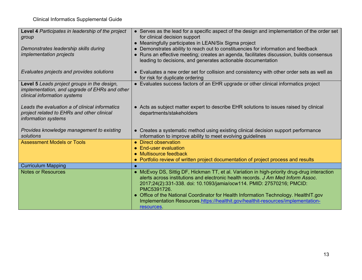| Level 4 Participates in leadership of the project<br>group                                                                   | • Serves as the lead for a specific aspect of the design and implementation of the order set<br>for clinical decision support                                                                                                                                                                                                                                                                                                                                     |
|------------------------------------------------------------------------------------------------------------------------------|-------------------------------------------------------------------------------------------------------------------------------------------------------------------------------------------------------------------------------------------------------------------------------------------------------------------------------------------------------------------------------------------------------------------------------------------------------------------|
|                                                                                                                              | • Meaningfully participates in LEAN/Six Sigma project                                                                                                                                                                                                                                                                                                                                                                                                             |
| Demonstrates leadership skills during                                                                                        | • Demonstrates ability to reach out to constituencies for information and feedback                                                                                                                                                                                                                                                                                                                                                                                |
| <i>implementation projects</i>                                                                                               | • Runs an effective meeting; creates an agenda, facilitates discussion, builds consensus<br>leading to decisions, and generates actionable documentation                                                                                                                                                                                                                                                                                                          |
| Evaluates projects and provides solutions                                                                                    | • Evaluates a new order set for collision and consistency with other order sets as well as<br>for risk for duplicate ordering                                                                                                                                                                                                                                                                                                                                     |
| Level 5 Leads project groups in the design,<br>implementation, and upgrade of EHRs and other<br>clinical information systems | • Evaluates success factors of an EHR upgrade or other clinical informatics project                                                                                                                                                                                                                                                                                                                                                                               |
| Leads the evaluation a of clinical informatics<br>project related to EHRs and other clinical<br>information systems          | • Acts as subject matter expert to describe EHR solutions to issues raised by clinical<br>departments/stakeholders                                                                                                                                                                                                                                                                                                                                                |
| Provides knowledge management to existing<br>solutions                                                                       | • Creates a systematic method using existing clinical decision support performance<br>information to improve ability to meet evolving guidelines                                                                                                                                                                                                                                                                                                                  |
| <b>Assessment Models or Tools</b>                                                                                            | • Direct observation                                                                                                                                                                                                                                                                                                                                                                                                                                              |
|                                                                                                                              | • End-user evaluation                                                                                                                                                                                                                                                                                                                                                                                                                                             |
|                                                                                                                              | • Multisource feedback                                                                                                                                                                                                                                                                                                                                                                                                                                            |
|                                                                                                                              | • Portfolio review of written project documentation of project process and results                                                                                                                                                                                                                                                                                                                                                                                |
| <b>Curriculum Mapping</b>                                                                                                    |                                                                                                                                                                                                                                                                                                                                                                                                                                                                   |
| <b>Notes or Resources</b>                                                                                                    | • McEvoy DS, Sittig DF, Hickman TT, et al. Variation in high-priority drug-drug interaction<br>alerts across institutions and electronic health records. J Am Med Inform Assoc.<br>2017;24(2):331-338. doi: 10.1093/jamia/ocw114. PMID: 27570216; PMCID:<br>PMC5391726.<br>• Office of the National Coordinator for Health Information Technology. HealthIT.gov<br>Implementation Resources.https://healthit.gov/healthit-resources/implementation-<br>resources. |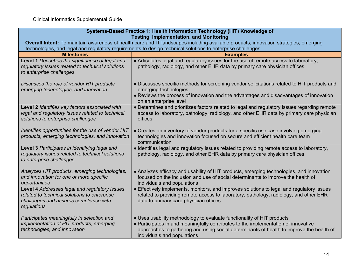| Systems-Based Practice 1: Health Information Technology (HIT) Knowledge of<br><b>Testing, Implementation, and Monitoring</b>                           |                                                                                                                                                                                                                                                                                         |
|--------------------------------------------------------------------------------------------------------------------------------------------------------|-----------------------------------------------------------------------------------------------------------------------------------------------------------------------------------------------------------------------------------------------------------------------------------------|
| Overall Intent: To maintain awareness of health care and IT landscapes including available products, innovation strategies, emerging                   |                                                                                                                                                                                                                                                                                         |
|                                                                                                                                                        | technologies, and legal and regulatory requirements to design technical solutions to enterprise challenges                                                                                                                                                                              |
| <b>Milestones</b>                                                                                                                                      | <b>Examples</b>                                                                                                                                                                                                                                                                         |
| Level 1 Describes the significance of legal and<br>regulatory issues related to technical solutions<br>to enterprise challenges                        | • Articulates legal and regulatory issues for the use of remote access to laboratory,<br>pathology, radiology, and other EHR data by primary care physician offices                                                                                                                     |
| Discusses the role of vendor HIT products,<br>emerging technologies, and innovation                                                                    | • Discusses specific methods for screening vendor solicitations related to HIT products and<br>emerging technologies<br>• Reviews the process of innovation and the advantages and disadvantages of innovation<br>on an enterprise level                                                |
| Level 2 Identifies key factors associated with<br>legal and regulatory issues related to technical<br>solutions to enterprise challenges               | • Determines and prioritizes factors related to legal and regulatory issues regarding remote<br>access to laboratory, pathology, radiology, and other EHR data by primary care physician<br>offices                                                                                     |
| Identifies opportunities for the use of vendor HIT<br>products, emerging technologies, and innovation                                                  | • Creates an inventory of vendor products for a specific use case involving emerging<br>technologies and innovation focused on secure and efficient health care team<br>communication                                                                                                   |
| Level 3 Participates in identifying legal and<br>regulatory issues related to technical solutions<br>to enterprise challenges                          | • Identifies legal and regulatory issues related to providing remote access to laboratory,<br>pathology, radiology, and other EHR data by primary care physician offices                                                                                                                |
| Analyzes HIT products, emerging technologies,<br>and innovation for one or more specific<br>opportunities                                              | • Analyzes efficacy and usability of HIT products, emerging technologies, and innovation<br>focused on the inclusion and use of social determinants to improve the health of<br>individuals and populations                                                                             |
| Level 4 Addresses legal and regulatory issues<br>related to technical solutions to enterprise<br>challenges and assures compliance with<br>regulations | • Effectively implements, monitors, and improves solutions to legal and regulatory issues<br>related to providing remote access to laboratory, pathology, radiology, and other EHR<br>data to primary care physician offices                                                            |
| Participates meaningfully in selection and<br>implementation of HIT products, emerging<br>technologies, and innovation                                 | • Uses usability methodology to evaluate functionality of HIT products<br>• Participates in and meaningfully contributes to the implementation of innovative<br>approaches to gathering and using social determinants of health to improve the health of<br>individuals and populations |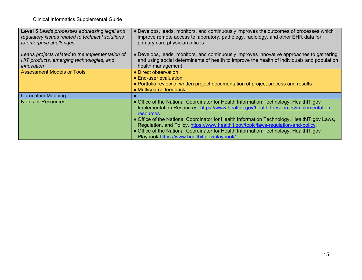| <b>Level 5</b> Leads processes addressing legal and<br>regulatory issues related to technical solutions<br>to enterprise challenges | • Develops, leads, monitors, and continuously improves the outcomes of processes which<br>improve remote access to laboratory, pathology, radiology, and other EHR data for<br>primary care physician offices                                                                                                                                                                                                                                                                                                         |
|-------------------------------------------------------------------------------------------------------------------------------------|-----------------------------------------------------------------------------------------------------------------------------------------------------------------------------------------------------------------------------------------------------------------------------------------------------------------------------------------------------------------------------------------------------------------------------------------------------------------------------------------------------------------------|
| Leads projects related to the implementation of<br>HIT products, emerging technologies, and<br>innovation                           | • Develops, leads, monitors, and continuously improves innovative approaches to gathering<br>and using social determinants of health to improve the health of individuals and population<br>health management                                                                                                                                                                                                                                                                                                         |
| <b>Assessment Models or Tools</b>                                                                                                   | • Direct observation<br>• End-user evaluation<br>• Portfolio review of written project documentation of project process and results<br>• Multisource feedback                                                                                                                                                                                                                                                                                                                                                         |
| <b>Curriculum Mapping</b>                                                                                                           |                                                                                                                                                                                                                                                                                                                                                                                                                                                                                                                       |
| <b>Notes or Resources</b>                                                                                                           | • Office of the National Coordinator for Health Information Technology. HealthIT.gov<br>Implementation Resources. https://www.healthit.gov/healthit-resources/implementation-<br>resources<br>• Office of the National Coordinator for Health Information Technology. HealthIT.gov Laws,<br>Regulation, and Policy. https://www.healthit.gov/topic/laws-regulation-and-policy.<br>• Office of the National Coordinator for Health Information Technology. HealthIT.gov<br>Playbook https://www.healthit.gov/playbook/ |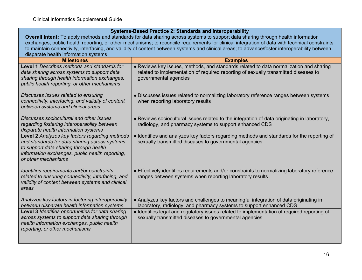| <b>Systems-Based Practice 2: Standards and Interoperability</b>                                                                                                                                                     |                                                                                                                                                                                                        |
|---------------------------------------------------------------------------------------------------------------------------------------------------------------------------------------------------------------------|--------------------------------------------------------------------------------------------------------------------------------------------------------------------------------------------------------|
| Overall Intent: To apply methods and standards for data sharing across systems to support data sharing through health information                                                                                   |                                                                                                                                                                                                        |
| exchanges, public health reporting, or other mechanisms; to reconcile requirements for clinical integration of data with technical constraints                                                                      |                                                                                                                                                                                                        |
|                                                                                                                                                                                                                     | to maintain connectivity, interfacing, and validity of content between systems and clinical areas; to advance/foster interoperability between                                                          |
| disparate health information systems                                                                                                                                                                                |                                                                                                                                                                                                        |
| <b>Milestones</b>                                                                                                                                                                                                   | <b>Examples</b>                                                                                                                                                                                        |
| Level 1 Describes methods and standards for<br>data sharing across systems to support data<br>sharing through health information exchanges,<br>public health reporting, or other mechanisms                         | • Reviews key issues, methods, and standards related to data normalization and sharing<br>related to implementation of required reporting of sexually transmitted diseases to<br>governmental agencies |
| Discusses issues related to ensuring<br>connectivity, interfacing, and validity of content<br>between systems and clinical areas                                                                                    | • Discusses issues related to normalizing laboratory reference ranges between systems<br>when reporting laboratory results                                                                             |
| Discusses sociocultural and other issues<br>regarding fostering interoperability between<br>disparate health information systems                                                                                    | • Reviews sociocultural issues related to the integration of data originating in laboratory,<br>radiology, and pharmacy systems to support enhanced CDS                                                |
| Level 2 Analyzes key factors regarding methods<br>and standards for data sharing across systems<br>to support data sharing through health<br>information exchanges, public health reporting,<br>or other mechanisms | • Identifies and analyzes key factors regarding methods and standards for the reporting of<br>sexually transmitted diseases to governmental agencies                                                   |
| Identifies requirements and/or constraints<br>related to ensuring connectivity, interfacing, and<br>validity of content between systems and clinical<br>areas                                                       | • Effectively identifies requirements and/or constraints to normalizing laboratory reference<br>ranges between systems when reporting laboratory results                                               |
| Analyzes key factors in fostering interoperability<br>between disparate health information systems                                                                                                                  | • Analyzes key factors and challenges to meaningful integration of data originating in<br>laboratory, radiology, and pharmacy systems to support enhanced CDS                                          |
| Level 3 Identifies opportunities for data sharing<br>across systems to support data sharing through<br>health information exchanges, public health<br>reporting, or other mechanisms                                | • Identifies legal and regulatory issues related to implementation of required reporting of<br>sexually transmitted diseases to governmental agencies                                                  |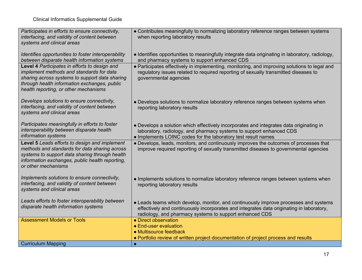| Participates in efforts to ensure connectivity,<br>interfacing, and validity of content between<br>systems and clinical areas                                                                                                        | • Contributes meaningfully to normalizing laboratory reference ranges between systems<br>when reporting laboratory results                                                                                                                  |
|--------------------------------------------------------------------------------------------------------------------------------------------------------------------------------------------------------------------------------------|---------------------------------------------------------------------------------------------------------------------------------------------------------------------------------------------------------------------------------------------|
| Identifies opportunities to foster interoperability<br>between disparate health information systems                                                                                                                                  | • Identifies opportunities to meaningfully integrate data originating in laboratory, radiology,<br>and pharmacy systems to support enhanced CDS                                                                                             |
| Level 4 Participates in efforts to design and<br>implement methods and standards for data<br>sharing across systems to support data sharing<br>through health information exchanges, public<br>health reporting, or other mechanisms | • Participates effectively in implementing, monitoring, and improving solutions to legal and<br>regulatory issues related to required reporting of sexually transmitted diseases to<br>governmental agencies                                |
| Develops solutions to ensure connectivity,<br>interfacing, and validity of content between<br>systems and clinical areas                                                                                                             | • Develops solutions to normalize laboratory reference ranges between systems when<br>reporting laboratory results                                                                                                                          |
| Participates meaningfully in efforts to foster<br>interoperability between disparate health<br>information systems                                                                                                                   | • Develops a solution which effectively incorporates and integrates data originating in<br>laboratory, radiology, and pharmacy systems to support enhanced CDS<br>• Implements LOINC codes for the laboratory test result names             |
| Level 5 Leads efforts to design and implement<br>methods and standards for data sharing across<br>systems to support data sharing through health<br>information exchanges, public health reporting,<br>or other mechanisms           | • Develops, leads, monitors, and continuously improves the outcomes of processes that<br>improve required reporting of sexually transmitted diseases to governmental agencies                                                               |
| Implements solutions to ensure connectivity,<br>interfacing, and validity of content between<br>systems and clinical areas                                                                                                           | . Implements solutions to normalize laboratory reference ranges between systems when<br>reporting laboratory results                                                                                                                        |
| Leads efforts to foster interoperability between<br>disparate health information systems                                                                                                                                             | • Leads teams which develop, monitor, and continuously improve processes and systems<br>effectively and continuously incorporates and integrates data originating in laboratory,<br>radiology, and pharmacy systems to support enhanced CDS |
| <b>Assessment Models or Tools</b>                                                                                                                                                                                                    | • Direct observation                                                                                                                                                                                                                        |
|                                                                                                                                                                                                                                      | • End-user evaluation                                                                                                                                                                                                                       |
|                                                                                                                                                                                                                                      | • Multisource feedback<br>• Portfolio review of written project documentation of project process and results                                                                                                                                |
| <b>Curriculum Mapping</b>                                                                                                                                                                                                            | $\bullet$                                                                                                                                                                                                                                   |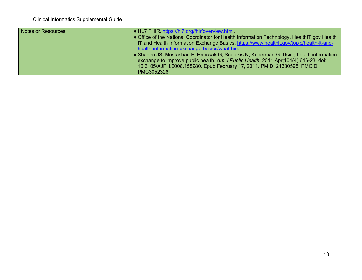| <b>Notes or Resources</b> | $\bullet$ HL7 FHIR, https://hl7.org/fhir/overview.html                                    |
|---------------------------|-------------------------------------------------------------------------------------------|
|                           | Office of the National Coordinator for Health Information Technology. HealthIT.gov Health |
|                           | IT and Health Information Exchange Basics. https://www.healthit.gov/topic/health-it-and-  |
|                           | health-information-exchange-basics/what-hie                                               |
|                           | Shapiro JS, Mostashari F, Hripcsak G, Soulakis N, Kuperman G. Using health information    |
|                           | exchange to improve public health. Am J Public Health. 2011 Apr;101(4):616-23. doi:       |
|                           | 10.2105/AJPH.2008.158980. Epub February 17, 2011. PMID: 21330598; PMCID:                  |
|                           | PMC3052326.                                                                               |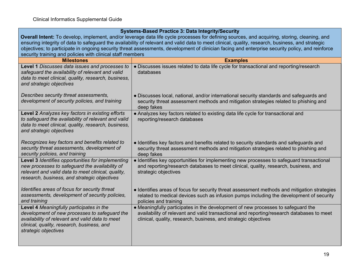| <b>Systems-Based Practice 3: Data Integrity/Security</b>                                                                                                                                                           |                                                                                                                                                                                                                                                  |  |
|--------------------------------------------------------------------------------------------------------------------------------------------------------------------------------------------------------------------|--------------------------------------------------------------------------------------------------------------------------------------------------------------------------------------------------------------------------------------------------|--|
| Overall Intent: To develop, implement, and/or leverage data life cycle processes for defining sources, and acquiring, storing, cleaning, and                                                                       |                                                                                                                                                                                                                                                  |  |
| ensuring integrity of data to safeguard the availability of relevant and valid data to meet clinical, quality, research, business, and strategic                                                                   |                                                                                                                                                                                                                                                  |  |
|                                                                                                                                                                                                                    | objectives; to participate in ongoing security threat assessments, development of clinician facing and enterprise security policy, and reinforce                                                                                                 |  |
| security training and policies with clinical staff members                                                                                                                                                         |                                                                                                                                                                                                                                                  |  |
| <b>Milestones</b>                                                                                                                                                                                                  | <b>Examples</b>                                                                                                                                                                                                                                  |  |
| Level 1 Discusses data issues and processes to<br>safeguard the availability of relevant and valid<br>data to meet clinical, quality, research, business,<br>and strategic objectives                              | • Discusses issues related to data life cycle for transactional and reporting/research<br>databases                                                                                                                                              |  |
| Describes security threat assessments,<br>development of security policies, and training                                                                                                                           | • Discusses local, national, and/or international security standards and safeguards and<br>security threat assessment methods and mitigation strategies related to phishing and<br>deep fakes                                                    |  |
| Level 2 Analyzes key factors in existing efforts<br>to safeguard the availability of relevant and valid<br>data to meet clinical, quality, research, business,<br>and strategic objectives                         | • Analyzes key factors related to existing data life cycle for transactional and<br>reporting/research databases                                                                                                                                 |  |
| Recognizes key factors and benefits related to<br>security threat assessments, development of<br>security policies, and training                                                                                   | • Identifies key factors and benefits related to security standards and safeguards and<br>security threat assessment methods and mitigation strategies related to phishing and<br>deep fakes                                                     |  |
| Level 3 Identifies opportunities for implementing<br>new processes to safeguard the availability of<br>relevant and valid data to meet clinical, quality,<br>research, business, and strategic objectives          | • Identifies key opportunities for implementing new processes to safeguard transactional<br>and reporting/research databases to meet clinical, quality, research, business, and<br>strategic objectives                                          |  |
| Identifies areas of focus for security threat<br>assessments, development of security policies,<br>and training                                                                                                    | • Identifies areas of focus for security threat assessment methods and mitigation strategies<br>related to medical devices such as infusion pumps including the development of security<br>policies and training                                 |  |
| Level 4 Meaningfully participates in the<br>development of new processes to safeguard the<br>availability of relevant and valid data to meet<br>clinical, quality, research, business, and<br>strategic objectives | • Meaningfully participates in the development of new processes to safeguard the<br>availability of relevant and valid transactional and reporting/research databases to meet<br>clinical, quality, research, business, and strategic objectives |  |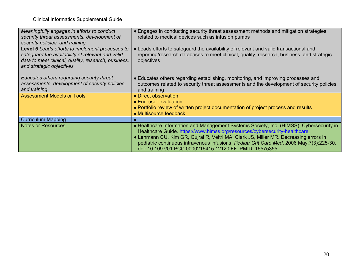| Meaningfully engages in efforts to conduct<br>security threat assessments, development of<br>security policies, and training                                                                  | • Engages in conducting security threat assessment methods and mitigation strategies<br>related to medical devices such as infusion pumps                                                                                                                                                                                                                                                                              |
|-----------------------------------------------------------------------------------------------------------------------------------------------------------------------------------------------|------------------------------------------------------------------------------------------------------------------------------------------------------------------------------------------------------------------------------------------------------------------------------------------------------------------------------------------------------------------------------------------------------------------------|
| <b>Level 5</b> Leads efforts to implement processes to<br>safeguard the availability of relevant and valid<br>data to meet clinical, quality, research, business,<br>and strategic objectives | • Leads efforts to safeguard the availability of relevant and valid transactional and<br>reporting/research databases to meet clinical, quality, research, business, and strategic<br>objectives                                                                                                                                                                                                                       |
| Educates others regarding security threat<br>assessments, development of security policies,<br>and training                                                                                   | • Educates others regarding establishing, monitoring, and improving processes and<br>outcomes related to security threat assessments and the development of security policies,<br>and training                                                                                                                                                                                                                         |
| <b>Assessment Models or Tools</b>                                                                                                                                                             | • Direct observation                                                                                                                                                                                                                                                                                                                                                                                                   |
|                                                                                                                                                                                               | • End-user evaluation                                                                                                                                                                                                                                                                                                                                                                                                  |
|                                                                                                                                                                                               | • Portfolio review of written project documentation of project process and results<br>• Multisource feedback                                                                                                                                                                                                                                                                                                           |
| <b>Curriculum Mapping</b>                                                                                                                                                                     |                                                                                                                                                                                                                                                                                                                                                                                                                        |
| <b>Notes or Resources</b>                                                                                                                                                                     | • Healthcare Information and Management Systems Society, Inc. (HIMSS). Cybersecurity in<br>Healthcare Guide. https://www.himss.org/resources/cybersecurity-healthcare.<br>• Lehmann CU, Kim GR, Gujral R, Veltri MA, Clark JS, Miller MR. Decreasing errors in<br>pediatric continuous intravenous infusions. Pediatr Crit Care Med. 2006 May;7(3):225-30.<br>doi: 10.1097/01.PCC.0000216415.12120.FF. PMID: 16575355. |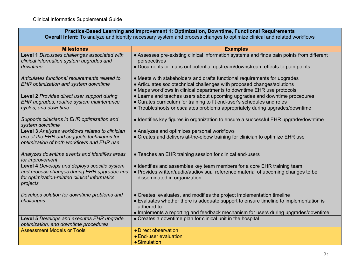**Overall Intent:** To analyze and identify necessary system and process changes to optimize clinical and related workflows

| <b>Milestones</b>                               | <b>Examples</b>                                                                           |
|-------------------------------------------------|-------------------------------------------------------------------------------------------|
| Level 1 Discusses challenges associated with    | • Assesses pre-existing clinical information systems and finds pain points from different |
| clinical information system upgrades and        | perspectives                                                                              |
| downtime                                        | • Documents or maps out potential upstream/downstream effects to pain points              |
| Articulates functional requirements related to  | • Meets with stakeholders and drafts functional requirements for upgrades                 |
| <b>EHR optimization and system downtime</b>     | • Articulates sociotechnical challenges with proposed changes/solutions                   |
|                                                 | • Maps workflows in clinical departments to downtime EHR use protocols                    |
| Level 2 Provides direct user support during     | • Learns and teaches users about upcoming upgrades and downtime procedures                |
| EHR upgrades, routine system maintenance        | • Curates curriculum for training to fit end-user's schedules and roles                   |
| cycles, and downtime                            | • Troubleshoots or escalates problems appropriately during upgrades/downtime              |
|                                                 |                                                                                           |
| Supports clinicians in EHR optimization and     | • Identifies key figures in organization to ensure a successful EHR upgrade/downtime      |
| system downtime                                 |                                                                                           |
| Level 3 Analyzes workflows related to clinician | • Analyzes and optimizes personal workflows                                               |
| use of the EHR and suggests techniques for      | • Creates and delivers at-the-elbow training for clinician to optimize EHR use            |
| optimization of both workflows and EHR use      |                                                                                           |
|                                                 |                                                                                           |
| Analyzes downtime events and identifies areas   | • Teaches an EHR training session for clinical end-users                                  |
| for improvement                                 |                                                                                           |
| Level 4 Develops and deploys specific system    | • Identifies and assembles key team members for a core EHR training team                  |
| and process changes during EHR upgrades and     | • Provides written/audio/audiovisual reference material of upcoming changes to be         |
| for optimization-related clinical informatics   | disseminated in organization                                                              |
| projects                                        |                                                                                           |
| Develops solution for downtime problems and     | • Creates, evaluates, and modifies the project implementation timeline                    |
| challenges                                      | • Evaluates whether there is adequate support to ensure timeline to implementation is     |
|                                                 | adhered to                                                                                |
|                                                 | • Implements a reporting and feedback mechanism for users during upgrades/downtime        |
| Level 5 Develops and executes EHR upgrade,      | • Creates a downtime plan for clinical unit in the hospital                               |
| optimization, and downtime procedures           |                                                                                           |
| <b>Assessment Models or Tools</b>               | • Direct observation                                                                      |
|                                                 | • End-user evaluation                                                                     |
|                                                 | • Simulation                                                                              |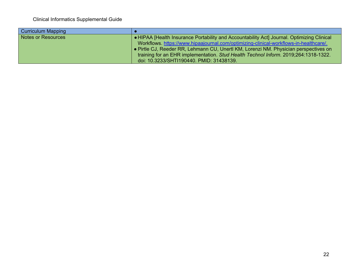| <b>Curriculum Mapping</b> |                                                                                            |
|---------------------------|--------------------------------------------------------------------------------------------|
| Notes or Resources        | ● HIPAA [Health Insurance Portability and Accountability Act] Journal. Optimizing Clinical |
|                           | Workflows. https://www.hipaajournal.com/optimizing-clinical-workflows-in-healthcare/.      |
|                           | • Pirtle CJ, Reeder RR, Lehmann CU, Unertl KM, Lorenzi NM. Physician perspectives on       |
|                           | training for an EHR implementation. Stud Health Technol Inform. 2019;264:1318-1322.        |
|                           | doi: 10.3233/SHTI190440. PMID: 31438139.                                                   |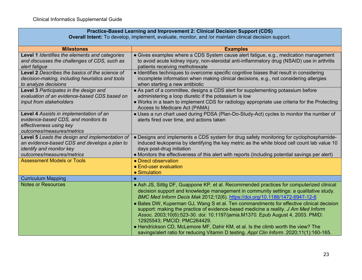#### **Practice-Based Learning and Improvement 2: Clinical Decision Support (CDS)**

**Overall Intent:** To develop, implement, evaluate, monitor, and /or maintain clinical decision support.

| <b>Milestones</b>                                                                                                                                       | <b>Examples</b>                                                                                                                                                                                                                                                                                                                                                                                                                                                                                                                                                                                                                                        |
|---------------------------------------------------------------------------------------------------------------------------------------------------------|--------------------------------------------------------------------------------------------------------------------------------------------------------------------------------------------------------------------------------------------------------------------------------------------------------------------------------------------------------------------------------------------------------------------------------------------------------------------------------------------------------------------------------------------------------------------------------------------------------------------------------------------------------|
| Level 1 Identifies the elements and categories<br>and discusses the challenges of CDS, such as<br>alert fatigue                                         | • Gives examples where a CDS System cause alert fatigue, e.g., medication management<br>to avoid acute kidney injury, non-steroidal anti-inflammatory drug (NSAID) use in arthritis<br>patients receiving methotrexate                                                                                                                                                                                                                                                                                                                                                                                                                                 |
| Level 2 Describes the basics of the science of<br>decision-making, including heuristics and tools<br>to analyze decisions                               | • Identifies techniques to overcome specific cognitive biases that result in considering<br>incomplete information when making clinical decisions, e.g., not considering allergies<br>when starting a new antibiotic                                                                                                                                                                                                                                                                                                                                                                                                                                   |
| Level 3 Participates in the design and<br>evaluation of an evidence-based CDS based on<br>input from stakeholders                                       | • As part of a committee, designs a CDS alert for supplementing potassium before<br>administering a loop diuretic if the potassium is low<br>• Works in a team to implement CDS for radiology appropriate use criteria for the Protecting<br>Access to Medicare Act (PAMA)                                                                                                                                                                                                                                                                                                                                                                             |
| Level 4 Assists in implementation of an<br>evidence-based CDS, and monitors its<br>effectiveness using key<br>outcomes/measures/metrics                 | • Uses a run chart used during PDSA (Plan-Do-Study-Act) cycles to monitor the number of<br>alerts fired over time, and actions taken                                                                                                                                                                                                                                                                                                                                                                                                                                                                                                                   |
| Level 5 Leads the design and implementation of<br>an evidence-based CDS and develops a plan to<br>identify and monitor key<br>outcomes/measures/metrics | • Designs and implements a CDS system for drug safety monitoring for cyclophosphamide-<br>induced leukopenia by identifying the key metric as the white blood cell count lab value 10<br>days post-drug initiation<br>• Monitors the effectiveness of this alert with reports (including potential savings per alert)                                                                                                                                                                                                                                                                                                                                  |
| <b>Assessment Models or Tools</b>                                                                                                                       | • Direct observation<br>• End-user evaluation<br>• Simulation                                                                                                                                                                                                                                                                                                                                                                                                                                                                                                                                                                                          |
| <b>Curriculum Mapping</b>                                                                                                                               | $\bullet$                                                                                                                                                                                                                                                                                                                                                                                                                                                                                                                                                                                                                                              |
| <b>Notes or Resources</b>                                                                                                                               | • Ash JS, Sittig DF, Guappone KP. et al. Recommended practices for computerized clinical<br>decision support and knowledge management in community settings: a qualitative study.<br>BMC Med Inform Decis Mak 2012;12(6). https://doi.org/10.1186/1472-6947-12-6<br>• Bates DW, Kuperman GJ, Wang S et al. Ten commandments for effective clinical decision<br>support: making the practice of evidence-based medicine a reality. J Am Med Inform<br>Assoc. 2003;10(6):523-30. doi: 10.1197/jamia.M1370. Epub August 4, 2003. PMID:<br>12925543; PMCID: PMC264429.<br>• Hendrickson CD, McLemore MF, Dahir KM, et al. Is the climb worth the view? The |
|                                                                                                                                                         | savings/alert ratio for reducing Vitamin D testing. Appl Clin Inform. 2020;11(1):160-165.                                                                                                                                                                                                                                                                                                                                                                                                                                                                                                                                                              |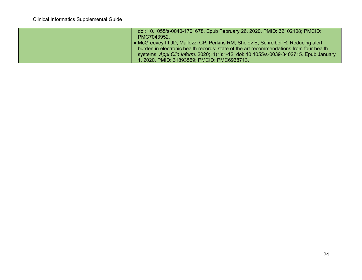| doi: 10.1055/s-0040-1701678. Epub February 26, 2020. PMID: 32102108; PMCID:<br>PMC7043952.                                                                                                                                                                                                                           |
|----------------------------------------------------------------------------------------------------------------------------------------------------------------------------------------------------------------------------------------------------------------------------------------------------------------------|
| • McGreevey III JD, Mallozzi CP, Perkins RM, Shelov E, Schreiber R. Reducing alert<br>burden in electronic health records: state of the art recommendations from four health<br>systems. Appl Clin Inform. 2020;11(1):1-12. doi: 10.1055/s-0039-3402715. Epub January<br>1, 2020. PMID: 31893559; PMCID: PMC6938713. |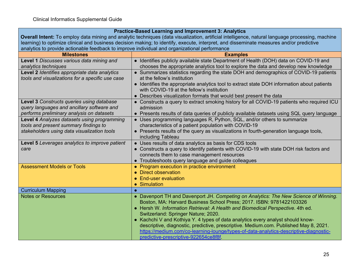|                                                                                                                                                  | <b>Practice-Based Learning and Improvement 3: Analytics</b>                                 |  |
|--------------------------------------------------------------------------------------------------------------------------------------------------|---------------------------------------------------------------------------------------------|--|
| Overall Intent: To employ data mining and analytic techniques (data visualization, artificial intelligence, natural language processing, machine |                                                                                             |  |
| learning) to optimize clinical and business decision making; to identify, execute, interpret, and disseminate measures and/or predictive         |                                                                                             |  |
| analytics to provide actionable feedback to improve individual and organizational performance                                                    |                                                                                             |  |
| <b>Milestones</b>                                                                                                                                | <b>Examples</b>                                                                             |  |
| Level 1 Discusses various data mining and                                                                                                        | • Identifies publicly available state Department of Health (DOH) data on COVID-19 and       |  |
| analytics techniques                                                                                                                             | chooses the appropriate analytics tool to explore the data and develop new knowledge        |  |
| Level 2 Identifies appropriate data analytics                                                                                                    | • Summarizes statistics regarding the state DOH and demographics of COVID-19 patients       |  |
| tools and visualizations for a specific use case                                                                                                 | at the fellow's institution                                                                 |  |
|                                                                                                                                                  | • Identifies the appropriate analytics tool to extract state DOH information about patients |  |
|                                                                                                                                                  | with COVID-19 at the fellow's institution                                                   |  |
|                                                                                                                                                  | • Describes visualization formats that would best present the data                          |  |
| Level 3 Constructs queries using database                                                                                                        | • Constructs a query to extract smoking history for all COVID-19 patients who required ICU  |  |
| query languages and ancillary software and                                                                                                       | admission                                                                                   |  |
| performs preliminary analysis on datasets                                                                                                        | • Presents results of data queries of publicly available datasets using SQL query language  |  |
| Level 4 Analyzes datasets using programming                                                                                                      | • Uses programming languages R, Python, SQL, and/or others to summarize                     |  |
| tools and present summary findings to                                                                                                            | characteristics of a patient population with COVID-19                                       |  |
| stakeholders using data visualization tools                                                                                                      | • Presents results of the query as visualizations in fourth-generation language tools,      |  |
|                                                                                                                                                  | including Tableau                                                                           |  |
| Level 5 Leverages analytics to improve patient                                                                                                   | • Uses results of data analytics as basis for CDS tools                                     |  |
| care                                                                                                                                             | • Constructs a query to identify patients with COVID-19 with state DOH risk factors and     |  |
|                                                                                                                                                  | connects them to case management resources                                                  |  |
|                                                                                                                                                  | • Troubleshoots query language and guide colleagues                                         |  |
| <b>Assessment Models or Tools</b>                                                                                                                | • Program execution in practice environment                                                 |  |
|                                                                                                                                                  | • Direct observation                                                                        |  |
|                                                                                                                                                  | • End-user evaluation                                                                       |  |
|                                                                                                                                                  | • Simulation                                                                                |  |
| <b>Curriculum Mapping</b>                                                                                                                        |                                                                                             |  |
| <b>Notes or Resources</b>                                                                                                                        | • Davenport TH and Davenport JH. Competing on Analytics: The New Science of Winning.        |  |
|                                                                                                                                                  | Boston, MA: Harvard Business School Press; 2017. ISBN: 9781422103326                        |  |
|                                                                                                                                                  | • Hersh W. Information Retrieval: A Health and Biomedical Perspective. 4th ed.              |  |
|                                                                                                                                                  | Switzerland: Springer Nature; 2020.                                                         |  |
|                                                                                                                                                  | • Kachchi V and Kothiya Y. 4 types of data analytics every analyst should know-             |  |
|                                                                                                                                                  | descriptive, diagnostic, predictive, prescriptive. Medium.com. Published May 8, 2021.       |  |
|                                                                                                                                                  | https://medium.com/co-learning-lounge/types-of-data-analytics-descriptive-diagnostic-       |  |
|                                                                                                                                                  | predictive-prescriptive-922654ce8f8f                                                        |  |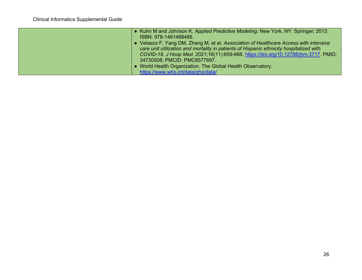| • Kuhn M and Johnson K. Applied Predictive Modeling. New York, NY: Springer; 2013.<br>ISBN: 978-1461468486. |
|-------------------------------------------------------------------------------------------------------------|
| • Velasco F, Yang DM, Zhang M, et al. Association of Healthcare Access with intensive                       |
| care unit utilization and mortality in patients of Hispanic ethnicity hospitalized with                     |
| COVID-19. J Hosp Med. 2021;16(11):659-666. https://doi.org/10.12788/jhm.3717. PMID:                         |
| 34730508; PMCID: PMC8577697.                                                                                |
| • World Health Organization. The Global Health Observatory.                                                 |
| https://www.who.int/data/gho/data/                                                                          |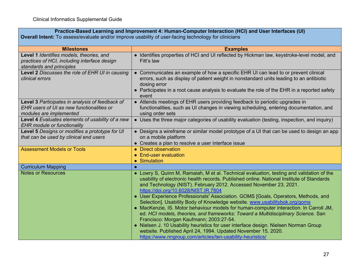| Practice-Based Learning and Improvement 4: Human-Computer Interaction (HCI) and User Interfaces (UI)<br><b>Overall Intent:</b> To assess/evaluate and/or improve usability of user-facing technology for clinicians |                                                                                                                                                                                                                                                                                                        |
|---------------------------------------------------------------------------------------------------------------------------------------------------------------------------------------------------------------------|--------------------------------------------------------------------------------------------------------------------------------------------------------------------------------------------------------------------------------------------------------------------------------------------------------|
| <b>Milestones</b>                                                                                                                                                                                                   | <b>Examples</b>                                                                                                                                                                                                                                                                                        |
| Level 1 Identifies models, theories, and<br>practices of HCI, including interface design<br>standards and principles                                                                                                | • Identifies properties of HCI and UI reflected by Hickman law, keystroke-level model, and<br>Fitt's law                                                                                                                                                                                               |
| Level 2 Discusses the role of EHR UI in causing<br>clinical errors                                                                                                                                                  | • Communicates an example of how a specific EHR UI can lead to or prevent clinical<br>errors, such as display of patient weight in nonstandard units leading to an antibiotic<br>dosing error<br>• Participates in a root cause analysis to evaluate the role of the EHR in a reported safety<br>event |
| Level 3 Participates in analysis of feedback of<br>EHR users of UI as new functionalities or<br>modules are implemented                                                                                             | • Attends meetings of EHR users providing feedback to periodic upgrades in<br>functionalities, such as UI changes in viewing scheduling, entering documentation, and<br>using order sets                                                                                                               |
| Level 4 Evaluates elements of usability of a new<br><b>EHR module or functionality</b>                                                                                                                              | • Uses the three major categories of usability evaluation (testing, inspection, and inquiry)                                                                                                                                                                                                           |
| Level 5 Designs or modifies a prototype for UI<br>that can be used by clinical end users                                                                                                                            | • Designs a wireframe or similar model prototype of a UI that can be used to design an app<br>on a mobile platform<br>• Creates a plan to resolve a user interface issue                                                                                                                               |
| <b>Assessment Models or Tools</b>                                                                                                                                                                                   | • Direct observation<br>• End-user evaluation<br>• Simulation                                                                                                                                                                                                                                          |
| <b>Curriculum Mapping</b>                                                                                                                                                                                           |                                                                                                                                                                                                                                                                                                        |
| <b>Notes or Resources</b>                                                                                                                                                                                           | • Lowry S, Quinn M, Ramaiah, M et al. Technical evaluation, testing and validation of the                                                                                                                                                                                                              |

| ● Lowry S, Quinn M, Ramaiah, M et al. Technical evaluation, testing and validation of the |
|-------------------------------------------------------------------------------------------|
| usability of electronic health records. Published online. National Institute of Standards |
| and Technology (NIST). February 2012. Accessed November 23, 2021.                         |
| https://doi.org/10.6028/NIST.IR.7804                                                      |
| <b>.</b> User Experience Professionals' Association. GOMS [Goals, Operators, Methods, and |

| Selection]. Usability Body of Knowledge website. www.usabilitybok.org/goms             |
|----------------------------------------------------------------------------------------|
| • MacKenzie, IS. Motor behaviour models for human-computer interaction. In Carroll JM, |
| ed. HCI models, theories, and frameworks: Toward a Multidisciplinary Science. San      |
| Francisco: Morgan Kaufmann; 2003:27-54.                                                |
| • Nielsen J. 10 Usability heuristics for user interface design. Nielsen Norman Group   |
| website. Published April 24, 1994. Updated November 15, 2020.                          |

<https://www.nngroup.com/articles/ten-usability-heuristics/>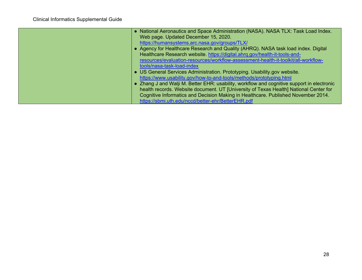| • National Aeronautics and Space Administration (NASA). NASA TLX: Task Load Index.<br>Web page. Updated December 15, 2020.<br>https://humansystems.arc.nasa.gov/groups/TLX/<br>• Agency for Healthcare Research and Quality (AHRQ). NASA task load index. Digital<br>Healthcare Research website. https://digital.ahrq.gov/health-it-tools-and-<br>resources/evaluation-resources/workflow-assessment-health-it-toolkit/all-workflow-                                                                            |
|------------------------------------------------------------------------------------------------------------------------------------------------------------------------------------------------------------------------------------------------------------------------------------------------------------------------------------------------------------------------------------------------------------------------------------------------------------------------------------------------------------------|
| tools/nasa-task-load-index<br>• US General Services Administration. Prototyping. Usability.gov website.<br>https://www.usability.gov/how-to-and-tools/methods/prototyping.html<br>• Zhang J and Walji M. Better EHR: usability, workflow and cognitive support in electronic<br>health records. Website document. UT [University of Texas Health] National Center for<br>Cognitive Informatics and Decision Making in Healthcare. Published November 2014.<br>https://sbmi.uth.edu/nccd/better-ehr/BetterEHR.pdf |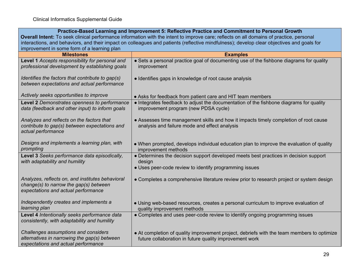г

| Practice-Based Learning and Improvement 5: Reflective Practice and Commitment to Personal Growth                                          |                                                                                                                                                       |  |  |
|-------------------------------------------------------------------------------------------------------------------------------------------|-------------------------------------------------------------------------------------------------------------------------------------------------------|--|--|
| Overall Intent: To seek clinical performance information with the intent to improve care; reflects on all domains of practice, personal   |                                                                                                                                                       |  |  |
| interactions, and behaviors, and their impact on colleagues and patients (reflective mindfulness); develop clear objectives and goals for |                                                                                                                                                       |  |  |
| improvement in some form of a learning plan                                                                                               |                                                                                                                                                       |  |  |
| <b>Milestones</b>                                                                                                                         | <b>Examples</b>                                                                                                                                       |  |  |
| Level 1 Accepts responsibility for personal and<br>professional development by establishing goals                                         | • Sets a personal practice goal of documenting use of the fishbone diagrams for quality<br>improvement                                                |  |  |
| Identifies the factors that contribute to gap(s)<br>between expectations and actual performance                                           | • Identifies gaps in knowledge of root cause analysis                                                                                                 |  |  |
| Actively seeks opportunities to improve                                                                                                   | • Asks for feedback from patient care and HIT team members                                                                                            |  |  |
| Level 2 Demonstrates openness to performance<br>data (feedback and other input) to inform goals                                           | • Integrates feedback to adjust the documentation of the fishbone diagrams for quality<br>improvement program (new PDSA cycle)                        |  |  |
| Analyzes and reflects on the factors that<br>contribute to gap(s) between expectations and<br>actual performance                          | • Assesses time management skills and how it impacts timely completion of root cause<br>analysis and failure mode and effect analysis                 |  |  |
| Designs and implements a learning plan, with<br>prompting                                                                                 | • When prompted, develops individual education plan to improve the evaluation of quality<br>improvement methods                                       |  |  |
| Level 3 Seeks performance data episodically,<br>with adaptability and humility                                                            | • Determines the decision support developed meets best practices in decision support<br>design                                                        |  |  |
|                                                                                                                                           | • Uses peer-code review to identify programming issues                                                                                                |  |  |
| Analyzes, reflects on, and institutes behavioral<br>change(s) to narrow the gap(s) between<br>expectations and actual performance         | • Completes a comprehensive literature review prior to research project or system design                                                              |  |  |
| Independently creates and implements a<br>learning plan                                                                                   | • Using web-based resources, creates a personal curriculum to improve evaluation of<br>quality improvement methods                                    |  |  |
| Level 4 Intentionally seeks performance data<br>consistently, with adaptability and humility                                              | • Completes and uses peer-code review to identify ongoing programming issues                                                                          |  |  |
| Challenges assumptions and considers<br>alternatives in narrowing the gap(s) between<br>expectations and actual performance               | • At completion of quality improvement project, debriefs with the team members to optimize<br>future collaboration in future quality improvement work |  |  |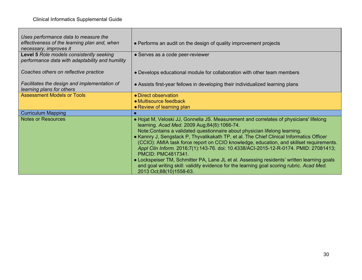| Uses performance data to measure the<br>effectiveness of the learning plan and, when<br>necessary, improves it | • Performs an audit on the design of quality improvement projects                                                                                                                                                                                                                                                                                                                                                                                                                                                                                                                                                                                                                                                                                      |
|----------------------------------------------------------------------------------------------------------------|--------------------------------------------------------------------------------------------------------------------------------------------------------------------------------------------------------------------------------------------------------------------------------------------------------------------------------------------------------------------------------------------------------------------------------------------------------------------------------------------------------------------------------------------------------------------------------------------------------------------------------------------------------------------------------------------------------------------------------------------------------|
| Level 5 Role models consistently seeking<br>performance data with adaptability and humility                    | • Serves as a code peer-reviewer                                                                                                                                                                                                                                                                                                                                                                                                                                                                                                                                                                                                                                                                                                                       |
| Coaches others on reflective practice                                                                          | • Develops educational module for collaboration with other team members                                                                                                                                                                                                                                                                                                                                                                                                                                                                                                                                                                                                                                                                                |
| Facilitates the design and implementation of<br>learning plans for others                                      | • Assists first-year fellows in developing their individualized learning plans                                                                                                                                                                                                                                                                                                                                                                                                                                                                                                                                                                                                                                                                         |
| <b>Assessment Models or Tools</b>                                                                              | • Direct observation<br>• Multisource feedback<br>• Review of learning plan                                                                                                                                                                                                                                                                                                                                                                                                                                                                                                                                                                                                                                                                            |
| <b>Curriculum Mapping</b>                                                                                      |                                                                                                                                                                                                                                                                                                                                                                                                                                                                                                                                                                                                                                                                                                                                                        |
| <b>Notes or Resources</b>                                                                                      | • Hojat M, Veloski JJ, Gonnella JS. Measurement and correlates of physicians' lifelong<br>learning. Acad Med. 2009 Aug;84(8):1066-74.<br>Note: Contains a validated questionnaire about physician lifelong learning.<br>• Kannry J, Sengstack P, Thyvalikakath TP, et al. The Chief Clinical Informatics Officer<br>(CCIO): AMIA task force report on CCIO knowledge, education, and skillset requirements.<br>Appl Clin Inform. 2016;7(1):143-76. doi: 10.4338/ACI-2015-12-R-0174. PMID: 27081413;<br><b>PMCID: PMC4817341.</b><br>• Lockspeiser TM, Schmitter PA, Lane JL et al. Assessing residents' written learning goals<br>and goal writing skill: validity evidence for the learning goal scoring rubric. Acad Med.<br>2013 Oct;88(10)1558-63. |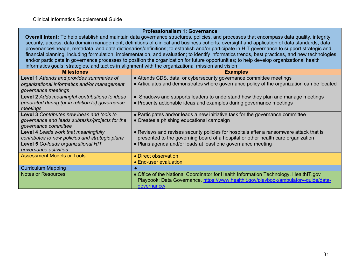#### **Professionalism 1: Governance**

**Overall Intent:** To help establish and maintain data governance structures, policies, and processes that encompass data quality, integrity, security, access, data domain management, definitions of clinical and business cohorts, oversight and application of data standards, data provenance/lineage, metadata, and data dictionaries/definitions; to establish and/or participate in HIT governance to support strategic and financial planning, including formulation, implementation, and evaluation; to identify informatics trends, best practices, and new technologies and/or participate in governance processes to position the organization for future opportunities; to help develop organizational health informatics goals, strategies, and tactics in alignment with the organizational mission and vision

| <b>Milestones</b>                                 | <b>Examples</b>                                                                           |
|---------------------------------------------------|-------------------------------------------------------------------------------------------|
| Level 1 Attends and provides summaries of         | • Attends CDS, data, or cybersecurity governance committee meetings                       |
| organizational informatics and/or management      | • Articulates and demonstrates where governance policy of the organization can be located |
| governance meetings                               |                                                                                           |
| Level 2 Adds meaningful contributions to ideas    | • Shadows and supports leaders to understand how they plan and manage meetings            |
| generated during (or in relation to) governance   | • Presents actionable ideas and examples during governance meetings                       |
| meetings                                          |                                                                                           |
| <b>Level 3 Contributes new ideas and tools to</b> | • Participates and/or leads a new initiative task for the governance committee            |
| governance and leads subtasks/projects for the    | • Creates a phishing educational campaign                                                 |
| governance committee                              |                                                                                           |
| Level 4 Leads work that meaningfully              | • Reviews and revises security policies for hospitals after a ransomware attack that is   |
| contributes to new policies and strategic plans   | presented to the governing board of a hospital or other health care organization          |
| <b>Level 5 Co-leads organizational HIT</b>        | • Plans agenda and/or leads at least one governance meeting                               |
| governance activities                             |                                                                                           |
| <b>Assessment Models or Tools</b>                 | • Direct observation                                                                      |
|                                                   | • End-user evaluation                                                                     |
| <b>Curriculum Mapping</b>                         |                                                                                           |
| <b>Notes or Resources</b>                         | • Office of the National Coordinator for Health Information Technology. HealthIT.gov      |
|                                                   | Playbook: Data Governance. https://www.healthit.gov/playbook/ambulatory-guide/data-       |
|                                                   | governance/                                                                               |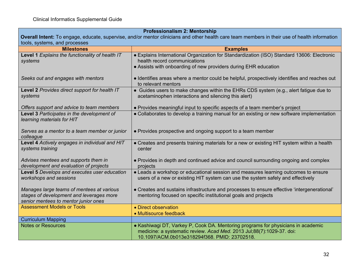| <b>Professionalism 2: Mentorship</b>            |                                                                                                                                               |  |  |
|-------------------------------------------------|-----------------------------------------------------------------------------------------------------------------------------------------------|--|--|
|                                                 | Overall Intent: To engage, educate, supervise, and/or mentor clinicians and other health care team members in their use of health information |  |  |
| tools, systems, and processes                   |                                                                                                                                               |  |  |
| <b>Milestones</b>                               | <b>Examples</b>                                                                                                                               |  |  |
| Level 1 Explains the functionality of health IT | • Explains International Organization for Standardization (ISO) Standard 13606: Electronic                                                    |  |  |
| systems                                         | health record communications                                                                                                                  |  |  |
|                                                 | • Assists with onboarding of new providers during EHR education                                                                               |  |  |
|                                                 |                                                                                                                                               |  |  |
| Seeks out and engages with mentors              | · Identifies areas where a mentor could be helpful, prospectively identifies and reaches out                                                  |  |  |
|                                                 | to relevant mentors                                                                                                                           |  |  |
| Level 2 Provides direct support for health IT   | • Guides users to make changes within the EHRs CDS system (e.g., alert fatigue due to                                                         |  |  |
| systems                                         | acetaminophen interactions and silencing this alert)                                                                                          |  |  |
| Offers support and advice to team members       | • Provides meaningful input to specific aspects of a team member's project                                                                    |  |  |
| Level 3 Participates in the development of      | • Collaborates to develop a training manual for an existing or new software implementation                                                    |  |  |
| learning materials for HIT                      |                                                                                                                                               |  |  |
|                                                 |                                                                                                                                               |  |  |
| Serves as a mentor to a team member or junior   | • Provides prospective and ongoing support to a team member                                                                                   |  |  |
| colleague                                       |                                                                                                                                               |  |  |
| Level 4 Actively engages in individual and HIT  | • Creates and presents training materials for a new or existing HIT system within a health                                                    |  |  |
| systems training                                | center                                                                                                                                        |  |  |
|                                                 |                                                                                                                                               |  |  |
| Advises mentees and supports them in            | • Provides in depth and continued advice and council surrounding ongoing and complex                                                          |  |  |
| development and evaluation of projects          | projects                                                                                                                                      |  |  |
| Level 5 Develops and executes user education    | • Leads a workshop or educational session and measures learning outcomes to ensure                                                            |  |  |
| workshops and sessions                          | users of a new or existing HIT system can use the system safely and effectively                                                               |  |  |
|                                                 |                                                                                                                                               |  |  |
| Manages large teams of mentees at various       | • Creates and sustains infrastructure and processes to ensure effective 'intergenerational'                                                   |  |  |
| stages of development and leverages more        | mentoring focused on specific institutional goals and projects                                                                                |  |  |
| senior mentees to mentor junior ones            |                                                                                                                                               |  |  |
| <b>Assessment Models or Tools</b>               | • Direct observation                                                                                                                          |  |  |
|                                                 | • Multisource feedback                                                                                                                        |  |  |
| <b>Curriculum Mapping</b>                       |                                                                                                                                               |  |  |
| <b>Notes or Resources</b>                       | • Kashiwagi DT, Varkey P, Cook DA. Mentoring programs for physicians in academic                                                              |  |  |
|                                                 | medicine: a systematic review. Acad Med. 2013 Jul;88(7):1029-37. doi:                                                                         |  |  |
|                                                 | 10.1097/ACM.0b013e318294f368. PMID: 23702518.                                                                                                 |  |  |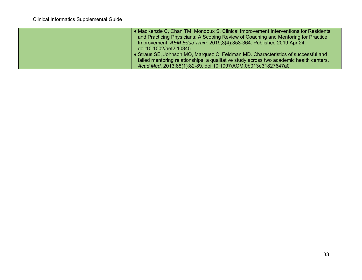| • MacKenzie C, Chan TM, Mondoux S. Clinical Improvement Interventions for Residents     |
|-----------------------------------------------------------------------------------------|
| and Practicing Physicians: A Scoping Review of Coaching and Mentoring for Practice      |
| Improvement. AEM Educ Train. 2019;3(4):353-364. Published 2019 Apr 24.                  |
| doi:10.1002/aet2.10345                                                                  |
| • Straus SE, Johnson MO, Marquez C, Feldman MD. Characteristics of successful and       |
| failed mentoring relationships: a qualitative study across two academic health centers. |
| Acad Med. 2013;88(1):82-89. doi:10.1097/ACM.0b013e31827647a0                            |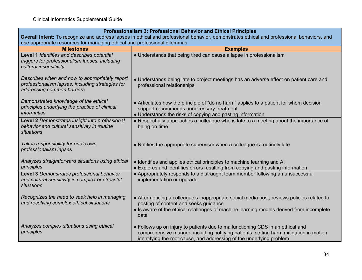| <b>Professionalism 3: Professional Behavior and Ethical Principles</b>                                                                     |                                                                                                                                                                                                                                                  |  |
|--------------------------------------------------------------------------------------------------------------------------------------------|--------------------------------------------------------------------------------------------------------------------------------------------------------------------------------------------------------------------------------------------------|--|
| Overall Intent: To recognize and address lapses in ethical and professional behavior, demonstrates ethical and professional behaviors, and |                                                                                                                                                                                                                                                  |  |
| use appropriate resources for managing ethical and professional dilemmas                                                                   |                                                                                                                                                                                                                                                  |  |
| <b>Milestones</b>                                                                                                                          | <b>Examples</b>                                                                                                                                                                                                                                  |  |
| Level 1 Identifies and describes potential<br>triggers for professionalism lapses, including<br>cultural insensitivity                     | • Understands that being tired can cause a lapse in professionalism                                                                                                                                                                              |  |
| Describes when and how to appropriately report<br>professionalism lapses, including strategies for<br>addressing common barriers           | • Understands being late to project meetings has an adverse effect on patient care and<br>professional relationships                                                                                                                             |  |
| Demonstrates knowledge of the ethical<br>principles underlying the practice of clinical<br>informatics                                     | • Articulates how the principle of "do no harm" applies to a patient for whom decision<br>support recommends unnecessary treatment<br>• Understands the risks of copying and pasting information                                                 |  |
| Level 2 Demonstrates insight into professional<br>behavior and cultural sensitivity in routine<br>situations                               | • Respectfully approaches a colleague who is late to a meeting about the importance of<br>being on time                                                                                                                                          |  |
| Takes responsibility for one's own<br>professionalism lapses                                                                               | • Notifies the appropriate supervisor when a colleague is routinely late                                                                                                                                                                         |  |
| Analyzes straightforward situations using ethical<br>principles                                                                            | • Identifies and applies ethical principles to machine learning and AI<br>• Explores and identifies errors resulting from copying and pasting information                                                                                        |  |
| Level 3 Demonstrates professional behavior<br>and cultural sensitivity in complex or stressful<br>situations                               | • Appropriately responds to a distraught team member following an unsuccessful<br>implementation or upgrade                                                                                                                                      |  |
| Recognizes the need to seek help in managing<br>and resolving complex ethical situations                                                   | • After noticing a colleague's inappropriate social media post, reviews policies related to<br>posting of content and seeks guidance<br>• Is aware of the ethical challenges of machine learning models derived from incomplete<br>data          |  |
| Analyzes complex situations using ethical<br>principles                                                                                    | • Follows up on injury to patients due to malfunctioning CDS in an ethical and<br>comprehensive manner, including notifying patients, setting harm mitigation in motion,<br>identifying the root cause, and addressing of the underlying problem |  |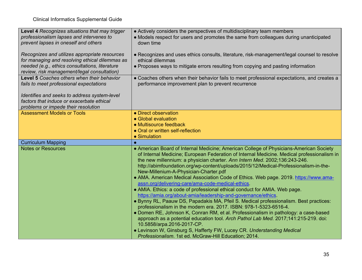| <b>Level 4 Recognizes situations that may trigger</b> | • Actively considers the perspectives of multidisciplinary team members                                                         |
|-------------------------------------------------------|---------------------------------------------------------------------------------------------------------------------------------|
| professionalism lapses and intervenes to              | • Models respect for users and promotes the same from colleagues during unanticipated                                           |
| prevent lapses in oneself and others                  | down time                                                                                                                       |
|                                                       |                                                                                                                                 |
| Recognizes and utilizes appropriate resources         | • Recognizes and uses ethics consults, literature, risk-management/legal counsel to resolve                                     |
| for managing and resolving ethical dilemmas as        | ethical dilemmas                                                                                                                |
| needed (e.g., ethics consultations, literature        | • Proposes ways to mitigate errors resulting from copying and pasting information                                               |
| review, risk management/legal consultation)           |                                                                                                                                 |
| Level 5 Coaches others when their behavior            | • Coaches others when their behavior fails to meet professional expectations, and creates a                                     |
| fails to meet professional expectations               | performance improvement plan to prevent recurrence                                                                              |
|                                                       |                                                                                                                                 |
| Identifies and seeks to address system-level          |                                                                                                                                 |
| factors that induce or exacerbate ethical             |                                                                                                                                 |
| problems or impede their resolution                   |                                                                                                                                 |
| <b>Assessment Models or Tools</b>                     | • Direct observation                                                                                                            |
|                                                       | • Global evaluation                                                                                                             |
|                                                       | • Multisource feedback                                                                                                          |
|                                                       | • Oral or written self-reflection                                                                                               |
|                                                       |                                                                                                                                 |
|                                                       | • Simulation                                                                                                                    |
| <b>Curriculum Mapping</b>                             | $\bullet$                                                                                                                       |
| <b>Notes or Resources</b>                             | • American Board of Internal Medicine; American College of Physicians-American Society                                          |
|                                                       | of Internal Medicine; European Federation of Internal Medicine. Medical professionalism in                                      |
|                                                       | the new millennium: a physician charter. Ann Intern Med. 2002;136:243-246.                                                      |
|                                                       | http://abimfoundation.org/wp-content/uploads/2015/12/Medical-Professionalism-in-the-                                            |
|                                                       | New-Millenium-A-Physician-Charter.pdf                                                                                           |
|                                                       | • AMA. American Medical Association Code of Ethics. Web page. 2019. https://www.ama-                                            |
|                                                       | assn.org/delivering-care/ama-code-medical-ethics                                                                                |
|                                                       | • AMIA. Ethics: a code of professional ethical conduct for AMIA. Web page.                                                      |
|                                                       | https://amia.org/about-amia/leadership-and-governance/ethics                                                                    |
|                                                       | . Bynny RL, Paauw DS, Papadakis MA, Pfeil S. Medical professionalism. Best practices:                                           |
|                                                       | professionalism in the modern era. 2017. ISBN: 978-1-5323-6516-4.                                                               |
|                                                       | • Domen RE, Johnson K, Conran RM, et al. Professionalism in pathology: a case-based                                             |
|                                                       | approach as a potential education tool. Arch Pathol Lab Med. 2017;141:215-219. doi:                                             |
|                                                       | 10.5858/arpa.2016-2017-CP.                                                                                                      |
|                                                       | • Levinson W, Ginsburg S, Hafferty FW, Lucey CR. Understanding Medical<br>Professionalism. 1st ed. McGraw-Hill Education; 2014. |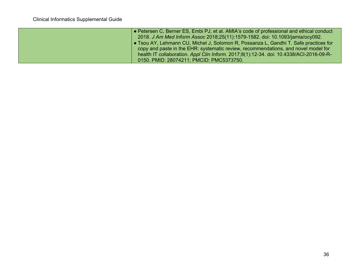| ● Petersen C, Berner ES, Embi PJ, et al. AMIA's code of professional and ethical conduct<br>2018. J Am Med Inform Assoc 2018;25(11):1579-1582. doi: 10.1093/jamia/ocy092.                                                                                                                                         |
|-------------------------------------------------------------------------------------------------------------------------------------------------------------------------------------------------------------------------------------------------------------------------------------------------------------------|
| ● Tsou AY, Lehmann CU, Michel J, Solomon R, Possanza L, Gandhi T. Safe practices for<br>copy and paste in the EHR: systematic review, recommendations, and novel model for<br>health IT collaboration. Appl Clin Inform. 2017;8(1):12-34. doi: 10.4338/ACI-2016-09-R-<br>0150. PMID: 28074211; PMCID: PMC5373750. |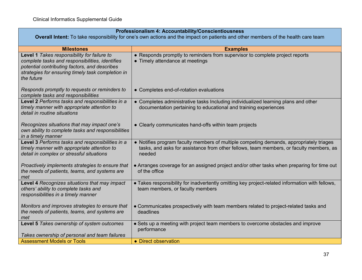| Professionalism 4: Accountability/Conscientiousness |  |
|-----------------------------------------------------|--|
|-----------------------------------------------------|--|

**Overall Intent:** To take responsibility for one's own actions and the impact on patients and other members of the health care team

| <b>Milestones</b>                                                                                                                                                                                                  | <b>Examples</b>                                                                                                                                                                              |
|--------------------------------------------------------------------------------------------------------------------------------------------------------------------------------------------------------------------|----------------------------------------------------------------------------------------------------------------------------------------------------------------------------------------------|
| Level 1 Takes responsibility for failure to<br>complete tasks and responsibilities, identifies<br>potential contributing factors, and describes<br>strategies for ensuring timely task completion in<br>the future | • Responds promptly to reminders from supervisor to complete project reports<br>• Timely attendance at meetings                                                                              |
| Responds promptly to requests or reminders to<br>complete tasks and responsibilities                                                                                                                               | • Completes end-of-rotation evaluations                                                                                                                                                      |
| Level 2 Performs tasks and responsibilities in a<br>timely manner with appropriate attention to<br>detail in routine situations                                                                                    | • Completes administrative tasks Including individualized learning plans and other<br>documentation pertaining to educational and training experiences                                       |
| Recognizes situations that may impact one's<br>own ability to complete tasks and responsibilities<br>in a timely manner                                                                                            | • Clearly communicates hand-offs within team projects                                                                                                                                        |
| Level 3 Performs tasks and responsibilities in a<br>timely manner with appropriate attention to<br>detail in complex or stressful situations                                                                       | • Notifies program faculty members of multiple competing demands, appropriately triages<br>tasks, and asks for assistance from other fellows, team members, or faculty members, as<br>needed |
| Proactively implements strategies to ensure that<br>the needs of patients, teams, and systems are<br>met                                                                                                           | • Arranges coverage for an assigned project and/or other tasks when preparing for time out<br>of the office                                                                                  |
| Level 4 Recognizes situations that may impact<br>others' ability to complete tasks and<br>responsibilities in a timely manner                                                                                      | • Takes responsibility for inadvertently omitting key project-related information with fellows,<br>team members, or faculty members                                                          |
| Monitors and improves strategies to ensure that<br>the needs of patients, teams, and systems are<br>met                                                                                                            | • Communicates prospectively with team members related to project-related tasks and<br>deadlines                                                                                             |
| Level 5 Takes ownership of system outcomes<br>Takes ownership of personal and team failures                                                                                                                        | • Sets up a meeting with project team members to overcome obstacles and improve<br>performance                                                                                               |
| <b>Assessment Models or Tools</b>                                                                                                                                                                                  |                                                                                                                                                                                              |
|                                                                                                                                                                                                                    | • Direct observation                                                                                                                                                                         |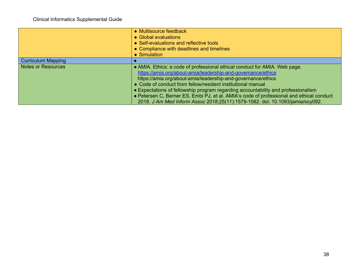|                           | • Multisource feedback<br>• Global evaluations<br>• Self-evaluations and reflective tools<br>• Compliance with deadlines and timelines<br>• Simulation                                                                                                                                                                                                                                                                                                                                                                                      |
|---------------------------|---------------------------------------------------------------------------------------------------------------------------------------------------------------------------------------------------------------------------------------------------------------------------------------------------------------------------------------------------------------------------------------------------------------------------------------------------------------------------------------------------------------------------------------------|
| <b>Curriculum Mapping</b> |                                                                                                                                                                                                                                                                                                                                                                                                                                                                                                                                             |
| <b>Notes or Resources</b> | • AMIA. Ethics: a code of professional ethical conduct for AMIA. Web page.<br>https://amia.org/about-amia/leadership-and-governance/ethics<br>https://amia.org/about-amia/leadership-and-governance/ethics<br>• Code of conduct from fellow/resident institutional manual<br>• Expectations of fellowship program regarding accountability and professionalism<br>• Petersen C, Berner ES, Embi PJ, et al. AMIA's code of professional and ethical conduct<br>2018. J Am Med Inform Assoc 2018;25(11):1579-1582. doi: 10.1093/jamia/ocy092. |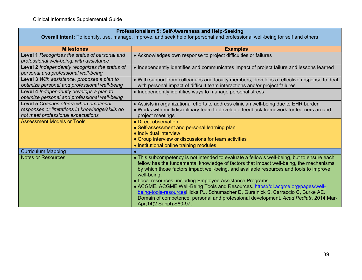| Professionalism 5: Self-Awareness and Help-Seeking<br>Overall Intent: To identify, use, manage, improve, and seek help for personal and professional well-being for self and others |                                                                                                                                                                                                                                                                                                                                                                                                                                                                                                                                                                                                                                                      |  |
|-------------------------------------------------------------------------------------------------------------------------------------------------------------------------------------|------------------------------------------------------------------------------------------------------------------------------------------------------------------------------------------------------------------------------------------------------------------------------------------------------------------------------------------------------------------------------------------------------------------------------------------------------------------------------------------------------------------------------------------------------------------------------------------------------------------------------------------------------|--|
|                                                                                                                                                                                     |                                                                                                                                                                                                                                                                                                                                                                                                                                                                                                                                                                                                                                                      |  |
| <b>Milestones</b>                                                                                                                                                                   | <b>Examples</b>                                                                                                                                                                                                                                                                                                                                                                                                                                                                                                                                                                                                                                      |  |
| Level 1 Recognizes the status of personal and<br>professional well-being, with assistance                                                                                           | • Acknowledges own response to project difficulties or failures                                                                                                                                                                                                                                                                                                                                                                                                                                                                                                                                                                                      |  |
| Level 2 Independently recognizes the status of<br>personal and professional well-being                                                                                              | • Independently identifies and communicates impact of project failure and lessons learned                                                                                                                                                                                                                                                                                                                                                                                                                                                                                                                                                            |  |
| Level 3 With assistance, proposes a plan to<br>optimize personal and professional well-being                                                                                        | • With support from colleagues and faculty members, develops a reflective response to deal<br>with personal impact of difficult team interactions and/or project failures                                                                                                                                                                                                                                                                                                                                                                                                                                                                            |  |
| Level 4 Independently develops a plan to<br>optimize personal and professional well-being                                                                                           | • Independently identifies ways to manage personal stress                                                                                                                                                                                                                                                                                                                                                                                                                                                                                                                                                                                            |  |
| <b>Level 5 Coaches others when emotional</b><br>responses or limitations in knowledge/skills do<br>not meet professional expectations                                               | • Assists in organizational efforts to address clinician well-being due to EHR burden<br>. Works with multidisciplinary team to develop a feedback framework for learners around<br>project meetings                                                                                                                                                                                                                                                                                                                                                                                                                                                 |  |
| <b>Assessment Models or Tools</b>                                                                                                                                                   | • Direct observation<br>• Self-assessment and personal learning plan<br>• Individual interview<br>• Group interview or discussions for team activities<br>• Institutional online training modules                                                                                                                                                                                                                                                                                                                                                                                                                                                    |  |
| <b>Curriculum Mapping</b>                                                                                                                                                           |                                                                                                                                                                                                                                                                                                                                                                                                                                                                                                                                                                                                                                                      |  |
| <b>Notes or Resources</b>                                                                                                                                                           | • This subcompetency is not intended to evaluate a fellow's well-being, but to ensure each<br>fellow has the fundamental knowledge of factors that impact well-being, the mechanisms<br>by which those factors impact well-being, and available resources and tools to improve<br>well-being.<br>• Local resources, including Employee Assistance Programs<br>• ACGME. ACGME Well-Being Tools and Resources. https://dl.acgme.org/pages/well-<br>being-tools-resourcesHicks PJ, Schumacher D, Guralnick S, Carraccio C, Burke AE.<br>Domain of competence: personal and professional development. Acad Pediatr. 2014 Mar-<br>Apr;14(2 Suppl):S80-97. |  |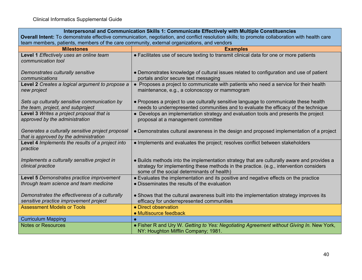| Interpersonal and Communication Skills 1: Communicate Effectively with Multiple Constituencies                                                 |                                                                                                                                                                                                                                    |  |
|------------------------------------------------------------------------------------------------------------------------------------------------|------------------------------------------------------------------------------------------------------------------------------------------------------------------------------------------------------------------------------------|--|
| Overall Intent: To demonstrate effective communication, negotiation, and conflict resolution skills; to promote collaboration with health care |                                                                                                                                                                                                                                    |  |
| team members, patients, members of the care community, external organizations, and vendors                                                     |                                                                                                                                                                                                                                    |  |
| <b>Milestones</b>                                                                                                                              | <b>Examples</b>                                                                                                                                                                                                                    |  |
| Level 1 Effectively uses an online team<br>communication tool                                                                                  | • Facilitates use of secure texting to transmit clinical data for one or more patients                                                                                                                                             |  |
| Demonstrates culturally sensitive<br>communications                                                                                            | • Demonstrates knowledge of cultural issues related to configuration and use of patient<br>portals and/or secure text messaging                                                                                                    |  |
| Level 2 Creates a logical argument to propose a<br>new project                                                                                 | • Proposes a project to communicate with patients who need a service for their health<br>maintenance, e.g., a colonoscopy or mammogram                                                                                             |  |
| Sets up culturally sensitive communication by<br>the team, project, and subproject                                                             | • Proposes a project to use culturally sensitive language to communicate these health<br>needs to underrepresented communities and to evaluate the efficacy of the technique                                                       |  |
| Level 3 Writes a project proposal that is<br>approved by the administration                                                                    | • Develops an implementation strategy and evaluation tools and presents the project<br>proposal at a management committee                                                                                                          |  |
| Generates a culturally sensitive project proposal<br>that is approved by the administration                                                    | • Demonstrates cultural awareness in the design and proposed implementation of a project                                                                                                                                           |  |
| Level 4 Implements the results of a project into<br>practice                                                                                   | • Implements and evaluates the project; resolves conflict between stakeholders                                                                                                                                                     |  |
| Implements a culturally sensitive project in<br>clinical practice                                                                              | • Builds methods into the implementation strategy that are culturally aware and provides a<br>strategy for implementing these methods in the practice. (e.g., intervention considers<br>some of the social determinants of health) |  |
| Level 5 Demonstrates practice improvement<br>through team science and team medicine                                                            | • Evaluates the implementation and its positive and negative effects on the practice<br>• Disseminates the results of the evaluation                                                                                               |  |
| Demonstrates the effectiveness of a culturally<br>sensitive practice improvement project                                                       | • Shows that the cultural awareness built into the implementation strategy improves its<br>efficacy for underrepresented communities                                                                                               |  |
| <b>Assessment Models or Tools</b>                                                                                                              | • Direct observation<br>• Multisource feedback                                                                                                                                                                                     |  |
| <b>Curriculum Mapping</b>                                                                                                                      |                                                                                                                                                                                                                                    |  |
| <b>Notes or Resources</b>                                                                                                                      | • Fisher R and Ury W. Getting to Yes: Negotiating Agreement without Giving In. New York,<br>NY: Houghton Mifflin Company; 1981.                                                                                                    |  |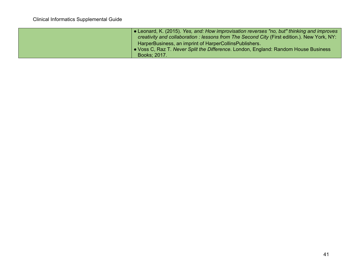| • Leonard, K. (2015). Yes, and: How improvisation reverses "no, but" thinking and improves<br>creativity and collaboration : lessons from The Second City (First edition.). New York, NY: |
|-------------------------------------------------------------------------------------------------------------------------------------------------------------------------------------------|
| HarperBusiness, an imprint of HarperCollinsPublishers.                                                                                                                                    |
| • Voss C, Raz T. Never Split the Difference. London, England: Random House Business                                                                                                       |
| Books; 2017.                                                                                                                                                                              |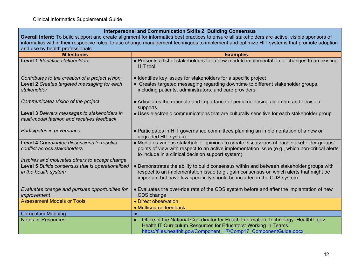# **Interpersonal and Communication Skills 2: Building Consensus**

**Overall Intent:** To build support and create alignment for informatics best practices to ensure all stakeholders are active, visible sponsors of informatics within their respective roles; to use change management techniques to implement and optimize HIT systems that promote adoption and use by health professionals

| <b>Milestones</b>                                                                                                            | <b>Examples</b>                                                                                                                                                                                                                                               |  |
|------------------------------------------------------------------------------------------------------------------------------|---------------------------------------------------------------------------------------------------------------------------------------------------------------------------------------------------------------------------------------------------------------|--|
| Level 1 Identifies stakeholders                                                                                              | • Presents a list of stakeholders for a new module implementation or changes to an existing<br>HIT tool                                                                                                                                                       |  |
| Contributes to the creation of a project vision                                                                              | • Identifies key issues for stakeholders for a specific project                                                                                                                                                                                               |  |
| Level 2 Creates targeted messaging for each<br>stakeholder                                                                   | • Creates targeted messaging regarding downtime to different stakeholder groups,<br>including patients, administrators, and care providers                                                                                                                    |  |
| Communicates vision of the project                                                                                           | • Articulates the rationale and importance of pediatric dosing algorithm and decision<br>supports                                                                                                                                                             |  |
| Level 3 Delivers messages to stakeholders in<br>multi-modal fashion and receives feedback                                    | • Uses electronic communications that are culturally sensitive for each stakeholder group                                                                                                                                                                     |  |
| Participates in governance                                                                                                   | • Participates in HIT governance committees planning an implementation of a new or<br>upgraded HIT system                                                                                                                                                     |  |
| Level 4 Coordinates discussions to resolve<br>conflict across stakeholders<br>Inspires and motivates others to accept change | • Mediates various stakeholder opinions to create discussions of each stakeholder groups'<br>points of view with respect to an active implementation issue (e.g., which non-critical alerts<br>to include in a clinical decision support system)              |  |
| Level 5 Builds consensus that is operationalized<br>in the health system                                                     | • Demonstrates the ability to build consensus within and between stakeholder groups with<br>respect to an implementation issue (e.g., gain consensus on which alerts that might be<br>important but have low specificity should be included in the CDS system |  |
| Evaluates change and pursues opportunities for<br>improvement                                                                | • Evaluates the over-ride rate of the CDS system before and after the implantation of new<br>CDS change                                                                                                                                                       |  |
| <b>Assessment Models or Tools</b>                                                                                            | • Direct observation<br>• Multisource feedback                                                                                                                                                                                                                |  |
| <b>Curriculum Mapping</b>                                                                                                    |                                                                                                                                                                                                                                                               |  |
| <b>Notes or Resources</b>                                                                                                    | Office of the National Coordinator for Health Information Technology. HealthIT.gov.<br>$\bullet$<br>Health IT Curriculum Resources for Educators: Working in Teams.<br>https://files.healthit.gov/Component 17/Comp17 ComponentGuide.docx                     |  |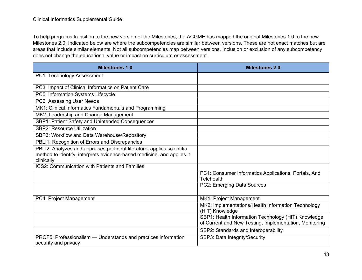To help programs transition to the new version of the Milestones, the ACGME has mapped the original Milestones 1.0 to the new Milestones 2.0. Indicated below are where the subcompetencies are similar between versions. These are not exact matches but are areas that include similar elements. Not all subcompetencies map between versions. Inclusion or exclusion of any subcompetency does not change the educational value or impact on curriculum or assessment.

| <b>Milestones 1.0</b>                                                  | <b>Milestones 2.0</b>                                  |
|------------------------------------------------------------------------|--------------------------------------------------------|
| PC1: Technology Assessment                                             |                                                        |
| PC3: Impact of Clinical Informatics on Patient Care                    |                                                        |
| PC5: Information Systems Lifecycle                                     |                                                        |
| PC6: Assessing User Needs                                              |                                                        |
| MK1: Clinical Informatics Fundamentals and Programming                 |                                                        |
| MK2: Leadership and Change Management                                  |                                                        |
| SBP1: Patient Safety and Unintended Consequences                       |                                                        |
| <b>SBP2: Resource Utilization</b>                                      |                                                        |
| SBP3: Workflow and Data Warehouse/Repository                           |                                                        |
| PBLI1: Recognition of Errors and Discrepancies                         |                                                        |
| PBLI2: Analyzes and appraises pertinent literature, applies scientific |                                                        |
| method to identify, interprets evidence-based medicine, and applies it |                                                        |
| clinically<br><b>ICS2: Communication with Patients and Families</b>    |                                                        |
|                                                                        | PC1: Consumer Informatics Applications, Portals, And   |
|                                                                        | <b>Telehealth</b>                                      |
|                                                                        | PC2: Emerging Data Sources                             |
|                                                                        |                                                        |
| PC4: Project Management                                                | MK1: Project Management                                |
|                                                                        | MK2: Implementations/Health Information Technology     |
|                                                                        | (HIT) Knowledge                                        |
|                                                                        | SBP1: Health Information Technology (HIT) Knowledge    |
|                                                                        | of Current and New Testing, Implementation, Monitoring |
|                                                                        | SBP2: Standards and Interoperability                   |
| PROF5: Professionalism — Understands and practices information         | SBP3: Data Integrity/Security                          |
| security and privacy                                                   |                                                        |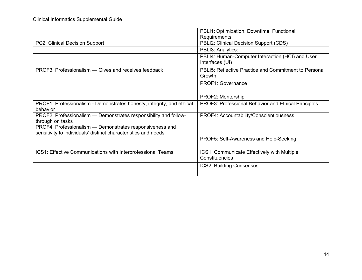|                                                                                                                            | PBLI1: Optimization, Downtime, Functional                           |
|----------------------------------------------------------------------------------------------------------------------------|---------------------------------------------------------------------|
|                                                                                                                            | Requirements                                                        |
| PC2: Clinical Decision Support                                                                                             | PBLI2: Clinical Decision Support (CDS)                              |
|                                                                                                                            | PBLI3: Analytics:                                                   |
|                                                                                                                            | PBLI4: Human-Computer Interaction (HCI) and User<br>Interfaces (UI) |
| PROF3: Professionalism — Gives and receives feedback                                                                       | PBLI5: Reflective Practice and Commitment to Personal<br>Growth     |
|                                                                                                                            | PROF1: Governance                                                   |
|                                                                                                                            | PROF2: Mentorship                                                   |
| PROF1: Professionalism - Demonstrates honesty, integrity, and ethical<br>behavior                                          | PROF3: Professional Behavior and Ethical Principles                 |
| PROF2: Professionalism - Demonstrates responsibility and follow-<br>through on tasks                                       | PROF4: Accountability/Conscientiousness                             |
| PROF4: Professionalism - Demonstrates responsiveness and<br>sensitivity to individuals' distinct characteristics and needs |                                                                     |
|                                                                                                                            | PROF5: Self-Awareness and Help-Seeking                              |
| ICS1: Effective Communications with Interprofessional Teams                                                                | ICS1: Communicate Effectively with Multiple<br>Constituencies       |
|                                                                                                                            | <b>ICS2: Building Consensus</b>                                     |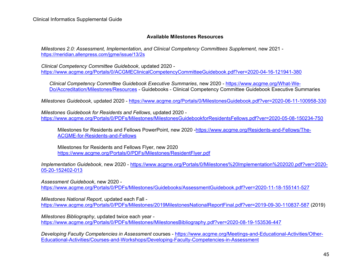#### **Available Milestones Resources**

*Milestones 2.0: Assessment, Implementation, and Clinical Competency Committees Supplement. new 2021* <https://meridian.allenpress.com/jgme/issue/13/2s>

*Clinical Competency Committee Guidebook*, updated 2020 <https://www.acgme.org/Portals/0/ACGMEClinicalCompetencyCommitteeGuidebook.pdf?ver=2020-04-16-121941-380>

*Clinical Competency Committee Guidebook Executive Summaries*, new 2020 - [https://www.acgme.org/What-We-](https://www.acgme.org/What-We-Do/Accreditation/Milestones/Resources)[Do/Accreditation/Milestones/Resources](https://www.acgme.org/What-We-Do/Accreditation/Milestones/Resources) - Guidebooks - Clinical Competency Committee Guidebook Executive Summaries

*Milestones Guidebook*, updated 2020 -<https://www.acgme.org/Portals/0/MilestonesGuidebook.pdf?ver=2020-06-11-100958-330>

*Milestones Guidebook for Residents and Fellows*, updated 2020 <https://www.acgme.org/Portals/0/PDFs/Milestones/MilestonesGuidebookforResidentsFellows.pdf?ver=2020-05-08-150234-750>

Milestones for Residents and Fellows PowerPoint, new 2020 [-https://www.acgme.org/Residents-and-Fellows/The-](https://www.acgme.org/Residents-and-Fellows/The-ACGME-for-Residents-and-Fellows)[ACGME-for-Residents-and-Fellows](https://www.acgme.org/Residents-and-Fellows/The-ACGME-for-Residents-and-Fellows) 

Milestones for Residents and Fellows Flyer, new 2020 <https://www.acgme.org/Portals/0/PDFs/Milestones/ResidentFlyer.pdf>

*Implementation Guidebook*, new 2020 - [https://www.acgme.org/Portals/0/Milestones%20Implementation%202020.pdf?ver=2020-](https://www.acgme.org/Portals/0/Milestones%20Implementation%202020.pdf?ver=2020-05-20-152402-013) [05-20-152402-013](https://www.acgme.org/Portals/0/Milestones%20Implementation%202020.pdf?ver=2020-05-20-152402-013) 

*Assessment Guidebook*, new 2020 -

<https://www.acgme.org/Portals/0/PDFs/Milestones/Guidebooks/AssessmentGuidebook.pdf?ver=2020-11-18-155141-527>

*Milestones National Report*, updated each Fall -

<https://www.acgme.org/Portals/0/PDFs/Milestones/2019MilestonesNationalReportFinal.pdf?ver=2019-09-30-110837-587> (2019)

*Milestones Bibliography*, updated twice each year -

<https://www.acgme.org/Portals/0/PDFs/Milestones/MilestonesBibliography.pdf?ver=2020-08-19-153536-447>

*Developing Faculty Competencies in Assessment* courses - [https://www.acgme.org/Meetings-and-Educational-Activities/Other-](https://www.acgme.org/Meetings-and-Educational-Activities/Other-Educational-Activities/Courses-and-Workshops/Developing-Faculty-Competencies-in-Assessment)[Educational-Activities/Courses-and-Workshops/Developing-Faculty-Competencies-in-Assessment](https://www.acgme.org/Meetings-and-Educational-Activities/Other-Educational-Activities/Courses-and-Workshops/Developing-Faculty-Competencies-in-Assessment)